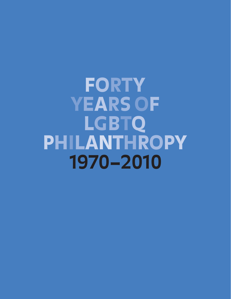FORTY YEARS OF LGBTQ PHILANTHROPY **1970–2010**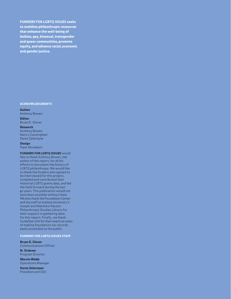FUNDERS FOR LGBTQ ISSUES seeks to mobilize philanthropic resources that enhance the well-being of lesbian, gay, bisexual, transgender and queer communities, promote equity, and advance racial, economic and gender justice.

### ACKNOWLEDGMENTS

Author Anthony Bowen

Editor

Bryan E. Glover

Research Anthony Bowen

Nancy Cunningham Karen Zelermyer

Design

Piper Murakami

FUNDERS FOR LGBTQ ISSUES would like to thank Anthony Bowen, the author of this report, for all his efforts to document the history of LGBTQ philanthropy. We would like to thank the funders who agreed to be interviewed for this project, compiled and contributed their historical LGBTQ grants data, and led the field forward during the last 40 years. This publication would not have been possible without them. We also thank the Foundation Center and the staff at Indiana University's Joseph and Matthew Payton Philanthropic Studies Library for their support in gathering data for this report. Finally, we thank GuideStar USA for their nearly 20 years of making foundation tax records easily accessible to the public.

### FUNDERS FOR LGBTQ ISSUES STAFF

Bryan E. Glover Communications Officer

N. Ordover Program Director

Marvin Webb Operations Manager

Karen Zelermyer President and CEO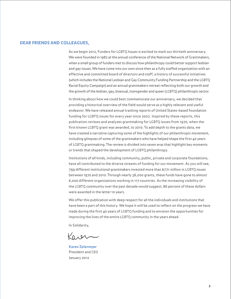### DEAR FRIENDS AND COLLEAGUES,

As we begin 2012, Funders for LGBTQ Issues is excited to mark our thirtieth anniversary. We were founded in 1982 at the annual conference of the National Network of Grantmakers, when a small group of funders met to discuss how philanthropy could better support lesbian and gay issues. We have come into our own since then as a fully staffed organization with an effective and committed board of directors and staff, a history of successful initiatives (which includes the National Lesbian and Gay Community Funding Partnership and the LGBTQ Racial Equity Campaign) and an annual grantmakers retreat reflecting both our growth and the growth of the lesbian, gay, bisexual, transgender and queer (LGBTQ) philanthropic sector.

In thinking about how we could best commemorate our anniversary, we decided that providing a historical overview of the field would serve as a highly relevant and useful endeavor. We have released annual tracking reports of United States-based foundation funding for LGBTQ issues for every year since 2002. Inspired by these reports, this publication reviews and analyzes grantmaking for LGBTQ issues from 1970, when the first known LGBTQ grant was awarded, to 2010. To add depth to the grants data, we have created a narrative capturing some of the highlights of our philanthropic movement, including glimpses of some of the grantmakers who have helped shape the first 40 years of LGBTQ grantmaking. The review is divided into seven eras that highlight key moments or trends that shaped the development of LGBTQ philanthropy.

Institutions of all kinds, including community, public, private and corporate foundations, have all contributed to the diverse streams of funding for our movement. As you will see, 799 different institutional grantmakers invested more than \$771 million in LGBTQ issues between 1970 and 2010. Through nearly 36,000 grants, these funds have gone to almost 6,000 different organizations working in 117 countries. As the increasing visibility of the LGBTQ community over the past decade would suggest, 86 percent of these dollars were awarded in the latter 10 years.

We offer this publication with deep respect for all the individuals and institutions that have been a part of this history. We hope it will be used to reflect on the progress we have made during the first 40 years of LGBTQ funding and to envision the opportunities for improving the lives of the entire LGBTQ community in the years ahead.

In Solidarity,

Kaver

**Karen Zelermyer** President and CEO January 2012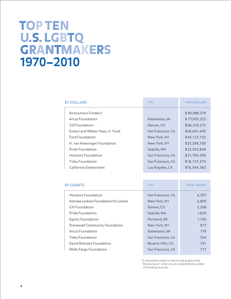## TOP TEN U.S.LGBTQ GRANTMAKERS **1970–2010**

| <b>BY DOLLARS</b>                | <b>CITY</b>       | <b>TOTAL DOLLARS</b> |
|----------------------------------|-------------------|----------------------|
| Anonymous Funders <sup>1</sup>   |                   | \$90,089,279         |
| Arcus Foundation                 | Kalamazoo, MI     | \$77,935,323         |
| Gill Foundation                  | Denver, CO        | \$66,319,272         |
| Evelyn and Walter Haas, Jr. Fund | San Francisco, CA | \$46,601,406         |
| Ford Foundation                  | New York, NY      | \$46,123,135         |
| H. van Ameringen Foundation      | New York, NY      | \$25,296,700         |
| Pride Foundation                 | Seattle, WA       | \$22,503,848         |
| Horizons Foundation              | San Francisco, CA | \$21,704,359         |
| Tides Foundation                 | San Francisco, CA | \$18,137,374         |
| California Endowment             | Los Angeles, CA   | \$16,344,343         |

| <b>BY GRANTS</b>                       | <b>CITY</b>       | <b>TOTAL GRANTS</b> |
|----------------------------------------|-------------------|---------------------|
| Horizons Foundation                    | San Francisco, CA | 4,357               |
| Astraea Lesbian Foundation for Justice | New York, NY      | 2,859               |
| Gill Foundation                        | Denver, CO        | 2,208               |
| Pride Foundation                       | Seattle, WA       | 1,829               |
| Equity Foundation                      | Portland, OR      | 1,100               |
| <b>Stonewall Community Foundation</b>  | New York, NY      | 817                 |
| Arcus Foundation                       | Kalamazoo, MI     | 774                 |
| Tides Foundation                       | San Francisco, CA | 754                 |
| David Bohnett Foundation               | Beverly Hills, CA | 751                 |
| Wells Fargo Foundation                 | San Francisco, CA | 717                 |
|                                        |                   |                     |

<sup>1</sup> It should be noted in charts and graphs that "Anonymous" refers to an unidentified number of funding sources.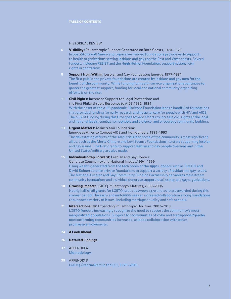### HISTORICAL REVIEW

- **Visibility: [Philanthropic Support Generated on Both Coasts,](#page-5-0) 1970-1976** In post-Stonewall America, progressive-minded foundations provide early support to health organizations serving lesbians and gays on the East and West coasts. Several funders, including RESIST and the Hugh Hefner Foundation, support national civil rights organizations.
- **8 Support from Within:** [Lesbian and Gay Foundations Emerge,](#page-7-0) 1977–1981 The first public and private foundations are created by lesbians and gay men for the benefit of the community. While funding for health service organizations continues to garner the greatest support, funding for local and national community organizing efforts is on the rise.
- **11 Civil Rights:** Increased Support for Legal Protections and [the First Philanthropic Response to AIDS,](#page-10-0) 1982–1984 With the onset of the AIDS pandemic, Horizons Foundation leads a handful of foundations that provided funding for early research and hospital care for people with HIV and AIDS. The bulk of funding during this time goes toward efforts to increase civil rights at the local and national levels, combat homophobia and violence, and encourage community building.
- **13 Urgent Matters:** Mainstream Foundations [Emerge as Allies to Combat AIDS and Homophobia,](#page-12-0) 1985–1993 The devastating effects of the AIDS crisis lead some of the community's most significant allies, such as the Mertz Gilmore and Levi Strauss Foundations, to start supporting lesbian and gay issues. The first grants to support lesbian and gay people overseas and in the United States' military are also made.
- 15 **[Individuals Step Forward:](#page-14-0)** Lesbian and Gay Donors [Generate Community and National Impact,](#page-14-0) 1994–1999 Using wealth generated from the tech boom of the 1990s, donors such as Tim Gill and David Bohnett create private foundations to support a variety of lesbian and gay issues. The National Lesbian and Gay Community Funding Partnership galvanizes mainstream community foundations and individual donors to support local lesbian and gay organizations.
- **18** Growing Impact: [LGBTQ Philanthropy Matures,](#page-17-0) 2000–2006 Nearly half of all grants for LGBTQ issues between 1970 and 2010 are awarded during this six-year period. The early- and mid-2000s sees an increased collaboration among foundations to support a variety of issues, including marriage equality and safe schools.
- **21** Intersectionality: [Expanding Philanthropic Horizons,](#page-20-0) 2007–2010 LGBTQ funders increasingly recognize the need to support the community's most marginalized populations. Support for communities of color and transgender/gender nonconforming communities increases, as does collaboration with other progressive movements.
- **24** [A Look Ahead](#page-23-0)
- **26** [Detailed Findings](#page-25-0)
- **37** [APPENDIX A](#page-36-0) Methodology
- **39** [APPENDIX B](#page-38-0) LGBTQ Grantmakers in the U.S.,1970–2010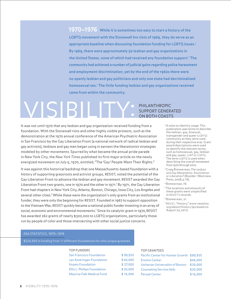<span id="page-5-0"></span>**1970–1976** While it is sometimes too easy to start a history of the LGBTQ movement with the Stonewall Inn riots of 1969, they do serve as an appropriate baseline when discussing foundation funding for LGBTQ issues. $^2$ By 1969, there were approximately 50 lesbian and gay organizations in the United States, none of which had received any foundation support. $^3$  The community had achieved a number of judicial gains regarding police harassment and employment discrimination, yet by the end of the 1960s there were no openly lesbian and gay politicians and only one state had decriminalized homosexual sex.<sup>4</sup> The little funding lesbian and gay organizations received came from within the community.

## WISIDEN PHILANTHROPIC SUPPORT GENER SUPPORT GENERATED ON BOTH COASTS

It was not until 1970 that any lesbian and gay organization received funding from a foundation. With the Stonewall riots and other highly visible protests, such as the demonstration at the 1970 annual conference of the American Psychiatric Association in San Francisco by the Gay Liberation Front (a national network of radical lesbian and gay activists), lesbians and gay men began using in earnest the liberationist strategies modeled by other movements. Spurred by what became the annual pride parade in New York City, the New York Times published its first major article on the newly energized movement on July 5, 1970, entitled, "The 'Gay' People Want Their Rights."

It was against this historical backdrop that one Massachusetts-based foundation with a history of supporting grassroots and activist groups, RESIST, noted the potential of the Gay Liberation Front to advance the lesbian and gay movement. RESIST awarded the Gay Liberation Front two grants, one in 1970 and the other in 1971.<sup>5</sup> By 1971, the Gay Liberation Front had chapters in New York City, Atlanta, Boston, Chicago, Iowa City, Los Angeles and several other cities.<sup>6</sup> While these were the organization's only grants from an institutional funder, they were only the beginning for RESIST. Founded in 1967 to support opposition to the Vietnam War, RESIST quickly became a national public funder investing in an array of social, economic and environmental movements. $^7$  Since its catalytic grant in 1970, <code>RESIST</code> has awarded 262 grants of nearly \$300,000 to LGBTQ organizations, particularly those run by people of color and those intersecting with other social justice concerns.

- <sup>2</sup>A note on identity usage. This publication uses terms to describe the lesbian, gay, bisexual, transgender and queer (LGBTQ) community as they were used during their respective eras. Grant award descriptions were used to identify the relevant terms, such as homosexual, gay, lesbian and gay, queer, LGBT or LGBTQ. The term LGBTQ is used when describing the overall movement from 1970 through 2010.
- <sup>3</sup> Craig Rimmerman, The Lesbian and Gay Movements: Assimilation or Liberation? (Boulder: Westview Press, 2008, p.19).
- <sup>4</sup>Rimmerman, 19.
- <sup>5</sup>The locations and amounts of these grants were unspecified in RESIST's records.
- <sup>6</sup>Rimmerman, 21.
- <sup>7</sup>RESIST, "History," www.resistinc. org/about/history (accessed on August 23, 2011).

### ERA STATISTICS, 1970–1976

\$224,935 in funding from 11 different foundations for nine unique grantees

### TOP FUNDERS

San Francisco Foundation \$99,9 van Ameringen Foundation \$40,0 Hyams Foundation \$27,0 Ellis L. Phillips Foundation \$20.0 Maurice Falk Medical Fund \$16,0

### TOP GRANTEES

| 35  | Pacific Center for Human Growth \$89,935 |          |
|-----|------------------------------------------|----------|
| )00 | <b>Eromin Center</b>                     | \$46,000 |
| 100 | Unitarian Universalist of Boston         | \$30,000 |
| )00 | <b>Counseling Service (MA)</b>           | \$20,000 |
| )00 | <b>Persad Center</b>                     | \$16,000 |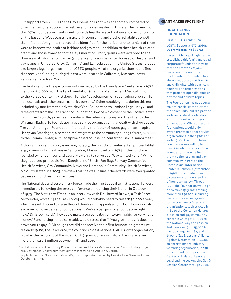But support from RESIST to the Gay Liberation Front was an anomaly compared to other institutional support for lesbian and gay issues during this era. During much of the 1970s, foundation grants went towards health-related lesbian and gay nonprofits on the East and West coasts, particularly counseling and alcohol rehabilitation. Of the 15 foundation grants that could be identified for the period 1970 to 1976, 11 of them were to improve the health of lesbians and gay men. In addition to these health-related grants and those awarded to the Gay Liberation Front, grants were awarded to the Homosexual Information Center (a library and resource center focused on lesbian and gay issues in Universal City, California) and Lambda Legal, the United States' oldest and largest legal organization for LGBTQ people. All of the organizations identified that received funding during this era were located in California, Massachusetts, Pennsylvania or New York.

The first grant for the gay community recorded by the Foundation Center was a 1973 grant for \$16,000 from the Falk Foundation (then the Maurice Falk Medical Fund) to the Persad Center in Pittsburgh for the "development of a counseling program for homosexuals and other sexual minority persons." Other notable grants during this era included \$5,000 from the private New York Foundation to Lambda Legal in 1976 and three grants from the San Francisco Foundation, two of which went to the Pacific Center for Human Growth, a gay health center in Berkeley, California and the other to the Whitman-Radclyffe Foundation, a gay service organization that dealt with drug abuse. The van Ameringen Foundation, founded by the father of noted gay philanthropist Henry van Ameringen, also made its first grant to the community during this era, \$40,000 to the Eromin Center, a Philadelphia-based counseling center for "sexual minorities."

Although the grant history is unclear, notably, the first documented attempt to establish a gay community chest was in Cambridge, Massachusetts in 1974. Otherfund was founded by Ian Johnson and Laura McMurry to serve as a "Gay United Fund." While they received proposals from Daughters of Bilitis, Fag Rag, Fenway Community Health Services, Gay Community News and Homophile Community Health Services, McMurry stated in a 2003 interview that she was unsure if the awards were ever granted because of fundraising difficulties.<sup>8</sup>

The National Gay and Lesbian Task Force made their first appeal to institutional funders immediately following the press conference announcing their launch in October of 1973. The New York Times, in an interview with Dr. Howard Brown, a Task Force co-founder, wrote, "[The Task Force] would probably need to raise \$150,000 a year, which he said it hoped to raise through fundraising appeals among both homosexuals and non-homosexuals and foundations... 'We're a bargain for a foundation right now,' Dr. Brown said. 'They could make a big contribution to civil rights for very little money.' Fund-raising appeals, he said, would stress that 'if you give money, it doesn't prove you're gay.'"<sup>9</sup>Although they did not receive their first foundation grants until the early 1980s, the Task Force, the country's oldest national LGBTQ rights organization, is today the recipient of the most LGBTQ grant dollars in history, having received more than \$42.8 million between 1981 and 2010.

### **GRANTMAKER SPOTLIGHT**

### HUGH HEFNER FOUNDATION

### First LGBTQ Grant: **1974** LGBTQ Support (1970–2010): **29 grants totaling \$78,921**

Based in Chicago, Hugh Hefner established this family-managed corporate foundation 11 years after he created Playboy magazine. The majority of the Foundation's funding has always supported civil liberties and civil rights, with a particular emphasis on organizations that promote open dialogue on diverse and divisive topics.

The Foundation has not been a major financial contributor to the community, but did provide early and critical leadership support to lesbian and gay organizations. While other ally foundations would only award grants to direct-service organizations in the 1970s and early 1980s, the Hugh Hefner Foundation was willing to invest in advocacy work. The Foundation made its first grant to the lesbian and gay community in 1974 to the Homosexual Information Center in California (established in 1968 to stimulate open discussion and understanding of homosexuality). Through 1990, the Foundation would go on to make 15 grants totaling more than \$50,000, including many of the earliest grants to the community's legacy organizations, such as \$500 in 1980 to the Center on Halsted, a lesbian and gay community center in Chicago; \$5,000 to the National Gay and Lesbian Task Force in 1981; \$5,000 to Lambda Legal in 1982; and \$500 to Gay & Lesbian Alliance Against Defamation (GLAAD), an entertainment-industry watchdog organization, in 1988. It continued to support the Center on Halsted, Lambda Legal and the Los Angeles Gay & Lesbian Center through 2008.

<sup>&</sup>lt;sup>8</sup> Rachel Dwyer and The History Project, "Finding Aid: Laura McMurry Papers," www.historyproject. org/Downloads/Coll17LauraMcMurry.pdf (accessed on August 24, 2011).

<sup>9</sup>Ralph Blumenthal, "Homosexual Civil-Rights Group Is Announced by Ex-City Aide," New York Times, October 16, 1973.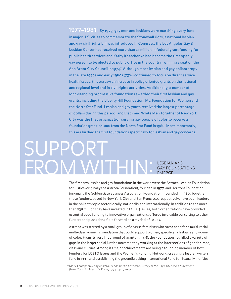<span id="page-7-0"></span>**1977–1981** By 1977, gay men and lesbians were marching every June in major U.S. cities to commemorate the Stonewall riots, a national lesbian and gay civil rights bill was introduced in Congress, the Los Angeles Gay & Lesbian Center had received more than \$1 million in federal grant funding for public health services and Kathy Kozachenko had become the first openly gay person to be elected to public office in the country, winning a seat on the Ann Arbor City Council in 1974.<sup>10</sup> Although most lesbian and gay philanthropy in the late 1970s and early 1980s (73%) continued to focus on direct service health issues, this era saw an increase in policy oriented grants on the national and regional level and in civil rights activities. Additionally, a number of long-standing progressive foundations awarded their first lesbian and gay grants, including the Liberty Hill Foundation, Ms. Foundation for Women and the North Star Fund. Lesbian and gay youth received the largest percentage of dollars during this period, and Black and White Men Together of New York City was the first organization serving gay people of color to receive a foundation grant: \$1,000 from the North Star Fund in 1980. Most importantly, this era birthed the first foundations specifically for lesbian and gay concerns.

## LESBIAN AND GAY FOUNDATIONS EMERGE SUPPORT FROM WITHIN:

The first two lesbian and gay foundations in the world were the Astraea Lesbian Foundation for Justice (originally the Astraea Foundation), founded in 1977, and Horizons Foundation (originally the Golden Gate Business Association Foundation), founded in 1980. Together, these funders, based in New York City and San Francisco, respectively, have been leaders in the philanthropic sector locally, nationally and internationally. In addition to the more than \$38 million they have invested in LGBTQ issues, both organizations have provided essential seed funding to innovative organizations, offered invaluable consulting to other funders and pushed the field forward on a myriad of issues.

Astraea was started by a small group of diverse feminists who saw a need for a multi-racial, multi-class women's foundation that could support women, specifically lesbians and women of color. From its very first round of grants in 1978, the Foundation has filled a variety of gaps in the larger social justice movement by working at the intersections of gender, race, class and culture. Among its major achievements are being a founding member of both Funders for LGBTQ Issues and the Women's Funding Network, creating a lesbian writers fund in 1991, and establishing the groundbreaking International Fund for Sexual Minorities

<sup>10</sup> Mark Thompson, Long Road to Freedom: The Advocate History of the Gay and Lesbian Movement, (New York: St. Martin's Press, 1994: pp. 97-144).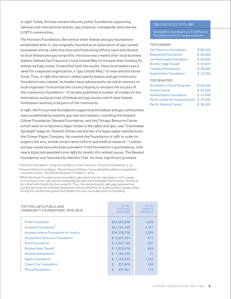in 1996. Today, Astraea remains the only public foundation supporting national and international lesbian, gay, bisexual, transgender and intersex (LGBTI) communities.

The Horizons Foundation, like several other lesbian and gay foundations established after it, was originally founded as an association of gay-owned businesses whose collective dues and fundraising efforts were distributed to local lesbian and gay nonprofits. Horizons was created after local business leaders lobbied San Francisco's local United Way to increase their funding for lesbian and gay issues. Unsatisfied with the results, these local leaders saw a need for a separate organization, a "gay United Way," to raise and distribute funds. Thus, in 1980 the nation's oldest openly lesbian and gay community foundation was created. Its leaders have subsequently served as mentors to local organizers from across the country hoping to emulate the success of this community foundation.<sup>11</sup> It has also published a number of studies on the motivations and practices of lesbian and gay donors which have helped fundraisers working in all parts of the community.

In 1981, the first private foundations supporting the lesbian and gay communities were established by wealthy gay men and lesbians, including the Howard Gilman Foundation, Newpol Foundation, and the Chicago Resource Center (which went on to become a major funder in the 1980s and '90s—see "Grantmaker Spotlight" page 12). Howard Gilman was the heir of a major paper manufacturer, the Gilman Paper Company. He created the Foundation in 1981 in order to support the arts, animal conservation efforts and medical research.<sup>12</sup> Lesbian and gay issues have also been prevalent in the foundation's grantmaking, with nearly \$300,000 awarded since 1983 for mostly HIV-related causes. The Newpol Foundation was launched by Marlow Cole. Its most significant grantees

<sup>11</sup> Horizons Foundation, 2004 Annual Report, (San Francisco: Horizons Foundation, p.5).

<sup>12</sup> Howard Gilman Foundation, "About Howard Gilman," www.gilmanfoundation.org/gilman/ HOWARDGILMAN\_ PDF.pdf (accessed on October 2, 2011).

13 While Horizons Foundation has awarded 4,357 grants for \$21,704,359 to LGBTQ issues in its history, only 1,781 grants totaling \$9,607,910 were available from historic records to be coded individually for this research. Thus, the remaining \$12,096,449 representing 2,576 grants are not included elsewhere in this publication or its data points, except when listing the overall total grants and dollars Horizons has made since its founding.

| TOP TEN LGBTQ PUBLIC AND<br>COMMUNITY FOUNDATIONS, 1970-2010 | <b>TOTAL</b><br><b>DOLLARS</b><br><b>AWARDED</b> | <b>TOTAL</b><br>GRANTS<br>AWARDED |
|--------------------------------------------------------------|--------------------------------------------------|-----------------------------------|
| <b>Pride Foundation</b>                                      | \$22,503,848                                     | 1,829                             |
| Horizons Foundation <sup>13</sup>                            | \$21,704,359                                     | 4,357                             |
| Astraea Lesbian Foundation for Justice                       | \$16,319,736                                     | 2,859                             |
| <b>Stonewall Community Foundation</b>                        | \$6,401,264                                      | 817                               |
| <b>Point Foundation</b>                                      | \$4,667,192                                      | 387                               |
| <b>Brother Help Thyself</b>                                  | \$1,830,978                                      | 656                               |
| Rainbow Endowment                                            | \$1,199,300                                      | 71                                |
| <b>Equity Foundation</b>                                     | \$1,144,033                                      | 1,100                             |
| <b>Cream City Foundation</b>                                 | $\mathfrak{D}$<br>821,600                        | 284                               |
| <b>PFund Foundation</b>                                      | $\frac{4}{5}$<br>597,401                         | 172                               |
|                                                              |                                                  |                                   |

### ERA STATISTICS, 1977–1981

\$446,883 in funding from 17 different foundations for 37 unique grantees

### TOP FUNDERS

| <b>San Francisco Foundation</b>   | \$160,502 |
|-----------------------------------|-----------|
| <b>Rosenberg Foundation</b>       | \$60.000  |
| van Ameringen Foundation          | \$50.000  |
| <b>Brother Help Thyself</b>       | \$ 30,831 |
| Columbia Foundation               | \$26,000  |
| <b>Hugh Hefner Foundation</b>     | \$23,350  |
| <b>TOP GRANTEES</b>               |           |
| <b>Huckleberry Youth Programs</b> | \$130,000 |
| <b>Eromin Center</b>              | \$67.500  |
| <b>Human Rights Foundation</b>    | \$41.000  |
| Pacific Center for Human Growth   | \$35,000  |
| <b>Pacific Medical Center</b>     | \$26,000  |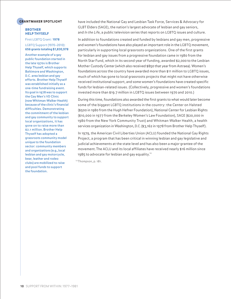### **GRANTMAKER SPOTLIGHT**

### BROTHER HELP THYSELF

First LGBTQ Grant: **1978**

LGBTQ Support (1970–2010): **656 grants totaling \$1,830,978**

Another example of a gay public foundation started in the late 1970s is Brother Help Thyself, which supports Baltimore and Washington, D.C. area lesbian and gay efforts. Brother Help Thyself was established initially as a one-time fundraising event. Its goal in 1978 was to support the Gay Men's VD Clinic (now Whitman-Walker Health) because of the clinic's financial difficulties. Demonstrating the commitment of the lesbian and gay community to support local organizations, it has gone on to raise more than \$2.1 million. Brother Help Thyself has adopted a grassroots community model unique to the foundation sector: community members and organizations (e.g., local lesbian and gay motorcycle, bear, leather and rodeo clubs) are mobilized to raise and pool funds to support the foundation.

have included the National Gay and Lesbian Task Force, Services & Advocacy for GLBT Elders (SAGE), the nation's largest advocate of lesbian and gay seniors, and In the Life, a public television series that reports on LGBTQ issues and culture.

In addition to foundations created and funded by lesbians and gay men, progressive and women's foundations have also played an important role in the LGBTQ movement, particularly in supporting local grassroots organizations. One of the first grants for lesbian and gay issues from a progressive foundation came in 1980 from the North Star Fund, which in its second year of funding, awarded \$2,000 to the Lesbian Mother Custody Center (which also received \$850 that year from Astraea). Women's foundations across the country have awarded more than \$11 million to LGBTQ issues, much of which has gone to local grassroots projects that might not have otherwise received institutional support, and some women's foundations have created specific funds for lesbian-related issues. (Collectively, progressive and women's foundations invested more than \$19.7 million in LGBTQ issues between 1970 and 2010.)

During this time, foundations also awarded the first grants to what would later become some of the biggest LGBTQ institutions in the country: the Center on Halsted (\$500 in 1980 from the Hugh Hefner Foundation), National Center for Lesbian Rights (\$10,000 in 1977 from the Berkeley Women's Law Foundation), SAGE (\$20,000 in 1980 from the New York Community Trust) and Whitman-Walker Health, a health services organization in Washington, D.C. (\$3,162 in 1978 from Brother Help Thyself).

In 1979, the American Civil Liberties Union (ACLU) founded the National Gay Rights Project, a program that has been critical in winning lesbian and gay legislative and judicial achievements at the state level and has also been a major grantee of the movement. The ACLU and its local affiliates have received nearly \$16 million since 1985 to advocate for lesbian and gay equality.<sup>14</sup>

<sup>14</sup>Thompson, p. 181.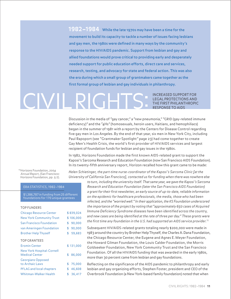<span id="page-10-0"></span>**1982–1984** While the late 1970s may have been a time for the movement to build its capacity to tackle a number of issues facing lesbians and gay men, the 1980s were defined in many ways by the community's response to the HIV/AIDS pandemic. Support from lesbian and gay and allied foundations would prove critical to providing early and desperately needed support for public education efforts, direct care and services, research, testing, and advocacy for state and federal action. This was also the era during which a small group of grantmakers came together as the first formal group of lesbian and gay individuals in philanthropy.

## INCREASED SUPPORT FOR LEGAL PROTECTIONS AND<br>THE FIRST PHILANTHROPIC THE FIRST PHILANT

Discussion in the media of "gay cancer," a "new pneumonia," "GRID (gay-related immune deficiency)" and the "4Hs" (homosexuals, heroin users, Haitians, and hemophiliacs) began in the summer of 1981 with a report by the Centers for Disease Control regarding five gay men in Los Angeles. By the end of that year, six men in New York City, including Paul Rapoport (see "Grantmaker Spotlight" page 23) had come together to create Gay Men's Health Crisis, the world's first provider of HIV/AIDS services and largest recipient of foundation funds for lesbian and gay issues in the 1980s.

In 1982, Horizons Foundation made the first known AIDS-related grant to support the Kaposi's Sarcoma Research and Education Foundation (now San Francisco AIDS Foundation). In its twenty-fifth anniversary report, Horizon recalled how this grant came to be made:

<sup>15</sup>Horizons Foundation, 2004 Annual Report, (San Francisco: Horizons Foundation, pp. 5-7).

### ERA STATISTICS,1982–1984

\$1,386,787 in funding from 25 different foundations for 170 unique grantees

### TOP FUNDERS

| <b>Chicago Resource Center</b>                     | \$839,024    |
|----------------------------------------------------|--------------|
| <b>New York Community Trust</b>                    | \$106,000    |
| San Francisco Foundation                           | \$90.000     |
| van Ameringen Foundation                           | \$<br>90.000 |
| <b>Brother Help Thyself</b>                        | \$<br>59.683 |
| <b>TOP GRANTEES</b>                                |              |
| <b>Eromin Center</b>                               | \$131,000    |
| New York Hospital-Cornell<br><b>Medical Center</b> | \$<br>86,000 |
| <b>Georgians Opposed</b>                           |              |
| to Archaic Laws                                    | \$75,000     |
| PFLAG and local chapters                           | \$<br>46.608 |
| <b>Whitman-Walker Health</b>                       | \$<br>36.417 |

Helen Schietinger, the part-time nurse-coordinator of the Kaposi's Sarcoma Clinic [at the University of California San Francisco], contacted us for funding when there was nowhere else

> to turn, including the university itself. That same year, we gave the Kaposi's Sarcoma Research and Education Foundation (later the San Francisco AIDS Foundation) a grant for their first newsletter, an early source of up-to-date, reliable information on the epidemic for healthcare professionals, the media, those who had been infected, and the "worried well." In their application, the KS Foundation underscored the importance of the project by noting that "approximately 650 cases of Acquired Immune Deficiency Syndrome diseases have been identified across the country, and new cases are being identified at the rate of three per day." These grants were the first time any foundation in the U.S. had supported an AIDS service provider.<sup>15</sup>

> Subsequent HIV/AIDS-related grants totaling nearly \$200,000 were made in 1983 around the country by Brother Help Thyself, the Charles A. Dana Foundation, the Chicago Resource Center, the Eugene and Agnes E. Meyer Foundation, the Howard Gilman Foundation, the Louis Calder Foundation, the Morris Goldseeker Foundation, New York Community Trust and the San Francisco Foundation. Of all the HIV/AIDS funding that was awarded in the early 1980s, more than 30 percent came from lesbian and gay foundations.

Reflecting on the significance of the AIDS pandemic to philanthropy and early lesbian and gay organizing efforts, Stephen Foster, president and CEO of the Overbrook Foundation (a New York-based family foundation) noted that when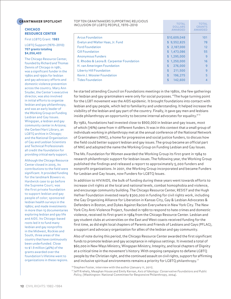### **GRANTMAKER SPOTLIGHT**

### CHICAGO RESOURCE CENTER

First LGBTQ Grant: **1983**

### LGBTQ Support (1970–2010): **707 grants totaling \$4,056,403**

The Chicago Resource Center, founded by Richard and Thomas Dennis of Chicago in 1981, was a significant funder in the 1980s and 1990s for lesbian and gay advocacy efforts and domestic violence prevention across the country. Mary Ann Snyder, the Center's executive director, was also involved in initial efforts to organize lesbian and gay philanthropy, and was an early leader of the Working Group on Funding Lesbian and Gay Issues. Wingspan, a lesbian and gay community center in Arizona; the Gerber/Hart Library, an LGBTQ archive in Chicago; and the National Organization of Gay and Lesbian Scientists and Technical Professionals all credit the foundation for providing critical early support.

Although the Chicago Resource Center closed in 2005, its contributions to the field were significant. It provided funding for the landmark Bowers vs. Hardwick case to go before the Supreme Court; was the first private foundation to support lesbian and gay people of color; sponsored lesbian health surveys in the 1980s; and made investments in more than 15 documentaries exploring lesbian and gay life and AIDS. Its Chicago-based roots led it to fund many lesbian and gay nonprofits in the Midwest, Rockies and South, three areas of the country that have continuously been underfunded. Close to \$1.9 million (46%) of the grants awarded over the foundation's lifetime went to organizations in these regions.

| TOP TEN GRANTMAKERS SUPPORTING RELIGIOUS<br>INCLUSION OF LGBTQ PEOPLE, 1970-2010 | <b>TOTAL</b><br><b>DOLLARS</b><br><b>AWARDED</b> | <b>TOTAL</b><br>GRANTS<br><b>AWARDED</b> |
|----------------------------------------------------------------------------------|--------------------------------------------------|------------------------------------------|
| <b>Arcus Foundation</b>                                                          | \$10,609,048                                     | 101                                      |
| Evelyn and Walter Haas, Jr. Fund                                                 | \$9.552.825                                      | 78                                       |
| <b>Ford Foundation</b>                                                           | \$2,187,000                                      | 12                                       |
| <b>Gill Foundation</b>                                                           | \$1,473,086                                      | 55                                       |
| <b>Anonymous Funders</b>                                                         | \$1,295,000                                      | 9                                        |
| E. Rhodes & Leona B. Carpenter Foundation                                        | \$1,250,000                                      | 16                                       |
| H. van Ameringen Foundation                                                      | \$<br>276.000                                    | 9                                        |
| Liberty Hill Foundation                                                          | $\mathfrak{D}$<br>211,500                        | q                                        |
| <b>Kevin J. Mossier Foundation</b>                                               | $\mathbf{S}$<br>196,275                          | 5                                        |
| <b>Tides Foundation</b>                                                          | \$<br>142,600                                    |                                          |
|                                                                                  |                                                  |                                          |

he started attending Council on Foundations meetings in the 1980s, the few gatherings for lesbian and gay grantmakers were only for social purposes. "The huge turning point for the LGBT movement was the AIDS epidemic. It brought foundations into contact with lesbian and gay people, which led to familiarity and understanding. It helped increase the visibility of the lesbian and gay part of the country. Finally, it gave gay men and lesbians inside philanthropy an opportunity to become internal advocates for equality."<sup>16</sup>

By 1982, foundations had invested close to \$900,000 in lesbian and gay issues, most of which (76%) came from 11 different funders. It was in this context that a small group of individuals working in philanthropy met at the annual conference of the National Network of Grantmakers (NNG), a home for progressive and social justice funders, to discuss how the field could better support lesbian and gay issues. The group became an official part of NNG and adopted the name the Working Group on Funding Lesbian and Gay Issues.

The Ms. Foundation for Women awarded the Working Group its first grant in 1984 to research philanthropic support for lesbian issues. The following year, the Working Group published the findings and released a report to approximately 5,000 funders and nonprofit organizations. In 2001, the Working Group incorporated and became Funders for Lesbian and Gay Issues, now Funders for LGBTQ Issues.

In addition to HIV/AIDS, the bulk of funding during these years went towards efforts to increase civil rights at the local and national levels, combat homophobia and violence, and encourage community building. The Chicago Resource Center, RESIST and the Hugh Hefner Foundation invested nearly \$300,000 in funding for civil rights work, including the Gay Organizing Alliance for Liberation in Kansas City, Gay & Lesbian Advocates & Defenders in Boston, and Dykes Against Racism Everywhere in New York City. The New York City Anti-Violence Project, founded in 1980 to respond to hate crimes and domestic violence, received its first grant in 1984 from the Chicago Resource Center. Lesbian and gay student clubs at universities on the East and West coasts received funding for the first time, as did eight local chapters of Parents and Friends of Lesbians and Gays (PFLAG), a support and advocacy organization for allies of the lesbian and gay community.

Also of note during this period, the Chicago Resource Center awarded the first significant funds to promote lesbian and gay acceptance in religious settings. It invested a total of \$60,000 in New Ways Ministry, Wingspan Ministry, Integrity, and local chapters of Dignity at a critical time in the movement's history. With ongoing campaigns to defame LGBTQ people by the Christian right, and the continued assault on civil rights, support for affirming and inclusive spiritual environments remains a priority for LGBTQ philanthropy. $^{17}$ 

<sup>&</sup>lt;sup>16</sup> Stephen Foster, interview with the author (January 11, 2011).

<sup>&</sup>lt;sup>17</sup> Jeff Krehely, Meaghan House and Emily Kernan, Axis of Ideology: Conservative Foundations and Public Policy, (Washington: National Committee for Responsive Philanthropy, 2004).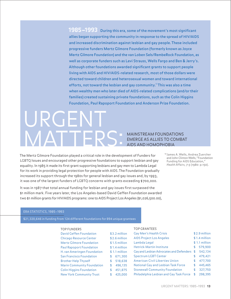<span id="page-12-0"></span>**1985–1993** During this era, some of the movement's most significant allies began supporting the community in response to the spread of HIV/AIDS and increased discrimination against lesbian and gay people. These included progressive funders Mertz Gilmore Foundation (formerly known as Joyce Mertz Gilmore Foundation) and the van Loben Sels/RembeRock Foundation, as well as corporate funders such as Levi Strauss, Wells Fargo and Ben & Jerry's. Although other foundations awarded significant grants to support people living with AIDS and HIV/AIDS-related research, most of those dollars were directed toward children and heterosexual women and toward international efforts, not toward the lesbian and gay community.<sup>18</sup> This was also a time when wealthy men who later died of AIDS-related complications (and/or their families) created sustaining private foundations, such as the Colin Higgins Foundation, Paul Rapoport Foundation and Anderson Prize Foundation.

## MAINSTREAM FOUNDATIONS EMERGE AS ALLIES TO COMBAT AIDS AND HOMOPHOBIA URGENT MATTERS:

The Mertz Gilmore Foundation played a critical role in the development of Funders for LGBTQ Issues and encouraged other progressive foundations to support lesbian and gay equality. In 1985 it made its first grant supporting lesbians and gay men to Lambda Legal for its work in providing legal protection for people with AIDS. The Foundation gradually increased its support through the 1980s for general lesbian and gay issues and, by 1993, it was one of the largest funders of LGBTQ concerns with grants exceeding \$700,000.

It was in 1987 that total annual funding for lesbian and gay issues first surpassed the \$1 million mark. Five years later, the Los Angeles-based David Geffen Foundation awarded two \$1 million grants for HIV/AIDS programs: one to AIDS Project Los Angeles (\$1,026,500.00),

<sup>18</sup>James A. Wells, Andrea Zuercher and John Clinton Wells, "Foundation Funding for AIDS Education," Health Affairs, 7:5 (1980: p.150).

### ERA STATISTICS, 1985–1993

\$21,320,646 in funding from 124 different foundations for 894 unique grantees

### TOP FUNDERS

### TOP GRANTEES

| <b>David Geffen Foundation</b>    |    | \$3.2 million  | Gay Men's Health Crisis                 |    | \$2.9 million  |
|-----------------------------------|----|----------------|-----------------------------------------|----|----------------|
| Chicago Resource Center           |    | \$2.6 million  | <b>AIDS Project Los Angeles</b>         |    | $$1.4$ million |
| <b>Mertz Gilmore Foundation</b>   |    | $$1.5$ million | Lambda Legal                            |    | \$1.1 million  |
| <b>Paul Rapoport Foundation</b>   |    | $$1.4$ million | <b>Hetrick-Martin Institute</b>         |    | 579,900        |
| H. van Ameringen Foundation       |    | $$1.1$ million | Gay and Lesbian Advocates and Defenders | \$ | 542,134        |
| San Francisco Foundation          |    | 671,300        | <b>Spectrum LGBT Center</b>             |    | 479,421        |
| <b>Brother Help Thyself</b>       |    | 518,638        | <b>American Civil Liberties Union</b>   | S. | 477,700        |
| <b>Marin Community Foundation</b> | S. | 496,135        | National Gay and Lesbian Task Force     | S. | 445,465        |
| <b>Colin Higgins Foundation</b>   |    | 451,875        | <b>Stonewall Community Foundation</b>   |    | 327,750        |
| New York Community Trust          |    | 425,000        | Philadelphia Lesbian and Gay Task Force | S  | 298,395        |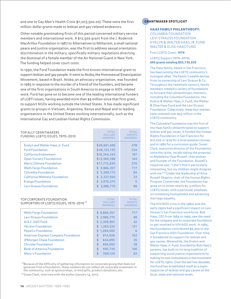and one to Gay Men's Health Crisis (\$1,003,500.00). These were the first million-dollar grants made to lesbian and gay-related endeavors.

Other notable grantmaking firsts of this period concerned military service members and international work. A \$12,500 grant from the J. Roderick MacArthur Foundation in 1987 to Alternatives to Militarism, a small national peace and justice organization, was the first to address sexual orientation discrimination in the military, specifically military regulations directing the dismissal of a female member of the Air National Guard in New York. The funding helped cover court costs.

In 1990, the Ford Foundation made the first known international grant to support lesbian and gay people. It went to Atoba, the Homosexual Emancipation Movement, based in Brazil. Atoba, an advocacy organization, was founded in 1985 in response to the murder of a friend of the founders, and became one of the first organizations in South America to engage in AIDS-related work. Ford has gone on to become one of the leading international funders of LGBTI issues, having awarded more than \$9 million since that first grant, to support NGOs working outside the United States. It has made significant grants to groups in Vietnam, Argentina, Kenya and Nepal and to leading organizations in the United States working internationally, such as the International Gay and Lesbian Human Rights Commission.

| <b>TOTAL</b><br><b>DOLLARS</b><br><b>AWARDED</b> | <b>TOTAL</b><br><b>GRANTS</b><br><b>AWARDED</b> |
|--------------------------------------------------|-------------------------------------------------|
| \$46,601,406                                     | 478                                             |
| \$46,123,135                                     | 234                                             |
| \$16,344,343                                     | 197                                             |
| \$12,560,398                                     | 164                                             |
| \$11,772,835                                     | 270                                             |
| \$9,866,357                                      | 717                                             |
| \$5,289,175                                      | 84                                              |
| \$3,327,500                                      | 23                                              |
| \$3,075,375                                      | 5                                               |
| \$2,986,770                                      | 88                                              |
|                                                  |                                                 |

| TOP CORPORATE FOUNDATION<br>SUPPORTERS OF LGBTQ ISSUES, 1970-2010 <sup>19</sup> | <b>TOTAL</b><br><b>DOLLARS</b><br><b>AWARDED</b> | <b>TOTAL</b><br><b>GRANTS</b><br><b>AWARDED</b> |
|---------------------------------------------------------------------------------|--------------------------------------------------|-------------------------------------------------|
| <b>Wells Fargo Foundation</b>                                                   | \$9,866,357                                      | 717                                             |
| Levi Strauss Foundation                                                         | \$2,986,770                                      | 88                                              |
| M.A.C. AIDS Fund                                                                | \$2,309,902                                      | 42                                              |
| <b>Verizon Foundation</b>                                                       | \$1,263,520                                      | 121                                             |
| PepsiCo Foundation                                                              | \$1,094,000                                      | 6                                               |
| <b>American Express Company Foundation</b>                                      | 914.928<br>\$                                    | 102                                             |
| <b>JPMorgan Chase Foundation</b>                                                | $\mathbf{\hat{f}}$<br>644,895                    | 25                                              |
| <b>Chrysler Foundation</b>                                                      | \$<br>604,000                                    | 28                                              |
| <b>Bank of America Foundation</b>                                               | $\mathbf{\hat{z}}$<br>595,739                    | 106                                             |
| Macy's Foundation                                                               | $\mathbf{\hat{z}}$<br>569.129                    | 63                                              |

<sup>19</sup> Because of the difficulty of gathering information on corporate giving that does not generate from a foundation, these numbers do not reflect all corporate investment in the community, such as sponsorships, in-kind gifts, product donations, etc.

<sup>20</sup> Susan Clark, interview with the author (January 14, 2011).

### **GRANTMAKER SPOTLIGHT**

### HAAS FAMILY PHILANTHROPY:

COLUMBIA FOUNDATION LEVI STRAUSS FOUNDATION EVELYN & WALTER HAAS, JR. FUND WALTER & ELISE HAAS FUND

### First LGBTQ Grant: **1979**

### LGBTQ Support (1970–2010): **695 grants totaling \$55,730,930**

The Haas family, based in San Francisco, has been among the LGBTQ community's strongest allies. The family's wealth derives from its ownership of Levi Strauss & Co. Throughout the twentieth century, family members created a variety of foundations to forward their philanthropic interests, including the Columbia Foundation, the Evelyn & Walter Haas, Jr. Fund, the Walter & Elise Haas Fund and the Levi Strauss Foundation. Collectively, these four entities have invested over \$55 million in the LGBTQ community.

The Columbia Foundation was the first of the Haas family philanthropies to support lesbian and gay issues. It funded the Human Rights Foundation in San Francisco for \$10,000 in 1979 for a local speakers bureau and in 1980 for a curriculum guide. Susan Clark, executive director of the Foundation since the 1970s, recalls taking the proposal to Madeleine Haas Russell, chairwoman and founder of the Foundation. Russell's response was, "I don't find it particularly interesting, but my children might disagree with me."<sup>20</sup> Under the leadership of Alice Russell-Shapiro, chair of the Human Rights Program Committee, the Foundation has gone on to invest nearly \$5.3 million for LGBTQ issues, with a particular emphasis on combating homophobia and advancing marriage equality.

The HIV/AIDS crisis in the 1980s and the early 1990s had a significant impact on Levi Strauss's San Francisco workforce. Bob Haas, CEO from 1984 to 1999, saw the need for the company and its corporate foundation to get involved in HIV/AIDS work. In 1985, the foundation contributed \$6,000 to the San Francisco AIDS Foundation. Over time, it broadened its support for lesbian and gay causes. Meanwhile, the Evelyn and Walter Haas, Jr. Fund, founded by Bob Haas's parents, has built on its long tradition of supporting social justice organizations by making its own investments in the movement for LGBTQ rights. Over the last two decades, the Fund has established itself as a major supporter of lesbian and gay causes at the local, state and national levels.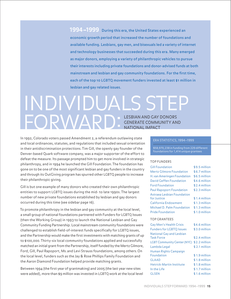<span id="page-14-0"></span>**1994–1999** During this era, the United States experienced an economic growth period that increased the number of foundations and available funding. Lesbians, gay men, and bisexuals led a variety of internet and technology businesses that succeeded during this era. Many emerged as major donors, employing a variety of philanthropic vehicles to pursue their interests including private foundations and donor-advised funds at both mainstream and lesbian and gay community foundations. For the first time, each of the top 10 LGBTQ movement funders invested at least \$1 million in lesbian and gay related issues.

## INDIVIDUALS STEP FORWARD: LESBIAN AND GAY DONORS GENERATE COMMUNITY AND NATIONAL IMPACT

In 1992, Colorado voters passed Amendment 2, a referendum outlawing state and local ordinances, statutes, and regulations that included sexual orientation in their antidiscrimination protections. Tim Gill, the openly gay founder of the Denver-based Quark software company, was a major supporter of the effort to defeat the measure. Its passage prompted him to get more involved in strategic philanthropy, and in 1994 he launched the Gill Foundation. The foundation has gone on to be one of the most significant lesbian and gay funders in the country and through its OutGiving program has spurred other LGBTQ people to increase their philanthropic giving.

Gill is but one example of many donors who created their own philanthropic entities to support LGBTQ issues during the mid- to late 1990s. The largest number of new private foundations established by lesbian and gay donors occurred during this time (see sidebar page 16).

To promote philanthropy in the lesbian and gay community at the local level, a small group of national foundations partnered with Funders for LGBTQ Issues (then the Working Group) in 1993 to launch the National Lesbian and Gay Community Funding Partnership. Local mainstream community foundations were challenged to establish field-of-interest funds specifically for LGBTQ issues, and the Partnership would make the first investments with matching grants of up to \$100,000. Thirty-six local community foundations applied and successfully matched an initial grant from the Partnership, itself funded by the Mertz Gilmore, Ford, Gill, Paul Rapoport, Ms. and Levi Strauss foundations, among others. On the local level, funders such as the Jay & Rose Phillips Family Foundation and the Aaron Diamond Foundation helped provide matching grants.

Between 1994 (the first year of grantmaking) and 2005 (the last year new sites were added), more than \$9 million was invested in LGBTQ work at the local level

### ERA STATISTICS,1994–1999

\$58,970,238 in funding from 229 different foundations for 1,414 unique grantees

### TOP FUNDERS

| <b>Gill Foundation</b>             | \$9.5 million  |
|------------------------------------|----------------|
| <b>Mertz Gilmore Foundation</b>    | \$6.7 million  |
| H. van Ameringen Foundation        | \$6.5 million  |
| <b>David Geffen Foundation</b>     | \$4.6 million  |
| <b>Ford Foundation</b>             | \$2.4 million  |
| <b>Paul Rapoport Foundation</b>    | \$2.3 million  |
| Astraea Lesbian Foundation         |                |
| for Justice                        | \$1.4 million  |
| <b>California Endowment</b>        | \$1.3 million  |
| Michael D. Palm Foundation         | \$1.3 million  |
| <b>Pride Foundation</b>            | \$1.0 million  |
| <b>TOP GRANTEES</b>                |                |
|                                    |                |
| Gay Men's Health Crisis            | \$4.6 million  |
| <b>Funders for LGBTQ Issues</b>    | \$3.0 million  |
| <b>National Gay and Lesbian</b>    |                |
| <b>Task Force</b>                  | $$2.4$ million |
| <b>LGBT Community Center (NYC)</b> | \$2.2 million  |
| Lambda Legal                       | \$2.1 million  |
| Human Rights Campaign              |                |
| Foundation                         | \$1.9 million  |
| <b>GLAAD</b>                       | \$1.8 million  |
| Hetrick-Martin Institute           | \$1.8 million  |
| In the Life                        | \$1.7 million  |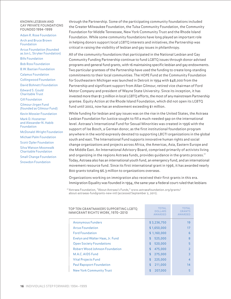KNOWN LESBIAN AND GAY PRIVATE FOUNDATIONS FOUNDED 1994–1999

Adam R. Rose Foundation

Arch and Bruce Brown Foundation Arcus Foundation (founded as Jon L. Stryker Foundation) Bills Foundation Bob Ross Foundation B.W. Bastian Foundation Calamus Foundation Collingwood Foundation David Bohnett Foundation Edward S. Gould Charitable Trust Gill Foundation Gilmour-Jirgen Fund (founded as Gilmour Fund) Kevin Mossier Foundation Mark D. Hostetter and Alexander N. Habib Foundation McDonald-Wright Foundation Michael Palm Foundation Scott Opler Foundation Silva Watson Moonwalk Charitable Foundation Small Change Foundation Snowdon Foundation

through the Partnership. Some of the participating community foundations included the Greater Milwaukee Foundation, the Tulsa Community Foundation, the Community Foundation for Middle Tennessee, New York Community Trust and the Rhode Island Foundation. While some community foundations have long played an important role in helping donors support local LGBTQ interests and initiatives, the Partnership was critical in raising the visibility of lesbian and gay issues in philanthropy.

All of the community foundations that participated in the National Lesbian and Gay Community Funding Partnership continue to fund LGBTQ issues through donor-advised programs and general fund grants, with 16 maintaining specific lesbian and gay endowments. Two particular grantees of the Partnership have used the funding to create long-standing commitments to their local communities. The HOPE Fund at the Community Foundation for Southeastern Michigan was launched in Detroit in 1994 with \$48,000 from the Partnership and significant support from Allan Gilmour, retired vice chairman of Ford Motor Company and president of Wayne State University. Since its inception, it has invested more than \$1.3 million in local LGBTQ efforts, the most of any mainstream Partnership grantee. Equity Action at the Rhode Island Foundation, which did not open its LGBTQ fund until 2002, now has an endowment exceeding \$1 million.

While funding for lesbian and gay issues was on the rise in the United States, the Astraea Lesbian Foundation for Justice sought to fill a much-needed gap on the international level. Astraea's International Fund for Sexual Minorities was created in 1996 with the support of Ise Bosch, a German donor, as the first institutional foundation program anywhere in the world expressly devoted to supporting LBGTI organizations in the global south and east. The International Fund supports innovative human rights and social change organizations and projects across Africa, the Americas, Asia, Eastern Europe and the Middle East. An International Advisory Board, comprised primarily of activists living and organizing in the regions Astraea funds, provides guidance in the grants process.<sup>21</sup> Today, Astraea also has an international youth fund, an emergency fund, and an international movement resource fund. Since its first international grant in 1996, it has awarded nearly 800 grants totaling \$6.3 million to organizations overseas.

Organizations working on immigration also received their first grants in this era. Immigration Equality was founded in 1994, the same year a federal court ruled that lesbians

<sup>21</sup>Astraea Foundation, "About Astraea's Funds," www.astraeafoundation.org/grants/ about-astraeas-fundgrants-new-intl (accessed September 2, 2011).

| TOP TEN GRANTMAKERS SUPPORTING LGBTQ<br>IMMIGRANT RIGHTS WORK, 1970-2010 | <b>TOTAL</b><br><b>DOLLARS</b><br><b>AWARDED</b> | <b>TOTAL</b><br><b>GRANTS</b><br><b>AWARDED</b> |
|--------------------------------------------------------------------------|--------------------------------------------------|-------------------------------------------------|
| <b>Anonymous Funders</b>                                                 | \$3,236,750                                      | 19                                              |
| <b>Arcus Foundation</b>                                                  | \$1,650,000                                      | 17                                              |
| <b>Ford Foundation</b>                                                   | \$1,160,000                                      | 6                                               |
| Evelyn and Walter Haas, Jr. Fund                                         | 525,000<br>\$                                    | 8                                               |
| <b>Open Society Foundations</b>                                          | \$<br>520,000                                    | 5                                               |
| Robert Wood Johnson Foundation                                           | \$<br>475,000                                    | $\mathcal{P}$                                   |
| M.A.C. AIDS Fund                                                         | 275,000<br>\$.                                   | 3                                               |
| <b>Vital Projects Fund</b>                                               | 225,000<br>\$                                    | $\overline{4}$                                  |
| <b>Paul Rapoport Foundation</b>                                          | \$<br>211,000                                    | 14                                              |
| <b>New York Community Trust</b>                                          | \$<br>207,000                                    | 5                                               |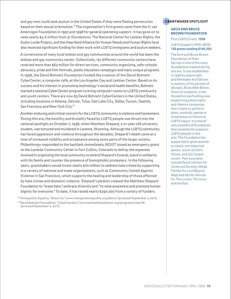and gay men could seek asylum in the United States if they were fleeing persecution based on their sexual orientation.<sup>22</sup> The organization's first grants came from the H. van Ameringen Foundation in 1997 and 1998 for general operating support. It has gone on to raise nearly \$3.6 million from 31 foundations. The National Center for Lesbian Rights, the Audre Lorde Project, and the Heartland Alliance for Human Needs and Human Rights have also received significant funding for their work with LGBTQ immigrants and asylum seekers.

A cornerstone of many local lesbian and gay communities around the world has been the lesbian and gay community center. Collectively, 151 different community centers have received more than \$63 million for direct services, community organizing, safe-schools advocacy, pride and film festivals, public education campaigns and many unique programs. In 1998, the David Bohnett Foundation funded the creation of the David Bohnett CyberCenter, a computer café, at the Los Angeles Gay and Lesbian Center. Based on its success and his interest in promoting technology's social and health benefits, Bohnett started a national CyberCenter program to bring computer rooms to LGBTQ community and youth centers. There are now 63 David Bohnett CyberCenters in the United States, including locations in Atlanta, Detroit, Tulsa, Salt Lake City, Dallas, Tucson, Seattle, San Francisco and New York City.<sup>23</sup>

Another enduring and critical concern for the LGBTQ community is violence and harassment. During this era, the hostility and brutality faced by LGBTQ people was thrust into the national spotlight on October 7, 1998, when Matthew Shepard, a 21-year-old university student, was tortured and murdered in Laramie, Wyoming. Although the LGBTQ community has faced aggression and violence throughout the decades, Shepard's death came at a time of increased visibility and acceptance among some parts of the larger society. Philanthropy responded to the backlash immediately. RESIST issued an emergency grant to the Lambda Community Center in Fort Collins, Colorado to defray the expenses involved in organizing the local community to attend Shepard's funeral, stand in solidarity with his family and counter the presence of homophobic protesters. In the following years, grantmakers would invest nearly \$70 million to address hate crimes by supporting in a variety of national and state organizations, such as Community United Against Violence in San Francisco, which supports the healing and leadership of those affected by hate crimes and domestic violence. Shepard's parents created the Matthew Shepard Foundation to "erase hate," embrace diversity and "to raise awareness and promote human dignity for everyone." To date, it has raised nearly \$290,000 from a variety of funders.

<sup>22</sup> Immigration Equality, "About Us," www.immigrationequality.org/about/ (accessed September 2, 2011). <sup>23</sup>David Bohnett Foundation, "CyberCenters," www.bohnettfoundation.org/programs/view/18 (accessed September 2, 2011).

### **GRANTMAKER SPOTLIGHT**

### ARCH AND BRUCE BROWN FOUNDATION

First LGBTQ Grant: **1996**

### LGBTQ Support (1970–2010): **136 grants totaling \$140,300**

The Arch and Bruce Brown Foundation of Palm Springs is one of the many foundations created during this era. It was established in 1996 by playwright and filmmaker Arch Brown in memory of his partner of 28 years, Bruce Allen Brown. Since its inception, it has focused on one funding area: supporting playwrights and theatre companies that create or perform plays, musicals, operas or screenplays on historical LGBTQ topics. It is one of only a handful of foundations that consistently supports LGBTQ people in the arts. The Foundation has supported or given awards to nearly 100 theatrical pieces, works of short fiction, and full-length novels. Past awardees include David Johnson for Candy and Dorothy, Maida Tilchen for Land Beyond Maps and Myrlin Hermes for The Lunatic, The Lover, and the Poet.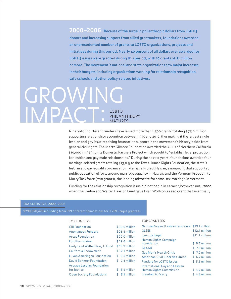<span id="page-17-0"></span>**2000–2006** Because of the surge in philanthropic dollars from LGBTQ donors and increasing support from allied grantmakers, foundations awarded an unprecedented number of grants to LGBTQ organizations, projects and initiatives during this period. Nearly 40 percent of all dollars ever awarded for LGBTQ issues were granted during this period, with 10 grants of \$1 million or more. The movement's national and state organizations saw major increases in their budgets, including organizations working for relationship recognition, safe schools and other policy-related initiatives.

## LGBTQ PHILANTHROPY MATURES **GROWIN** IMPA

Ninety-four different funders have issued more than 1,500 grants totaling \$75.2 million supporting relationship recognition between 1970 and 2010, thus making it the largest single lesbian and gay issue receiving foundation support in the movement's history, aside from general civil rights. The Mertz Gilmore Foundation awarded the ACLU of Northern California \$10,000 in 1989 for its Domestic Partners Project which sought to "establish legal protection for lesbian and gay male relationships." During the next 11 years, foundations awarded four marriage-related grants totaling \$13,165 to the Texas Human Rights Foundation, the state's lesbian and gay equality organization; Marriage Project Hawaii, a nonprofit that supported public education efforts around marriage equality in Hawaii; and the Vermont Freedom to Marry Taskforce (two grants), the leading advocate for same-sex marriage in Vermont.

Funding for the relationship recognition issue did not begin in earnest,however, until 2000 when the Evelyn and Walter Haas, Jr. Fund gave Evan Wolfson a seed grant that eventually

### ERA STATISTICS, 2000–2006

\$298,878,428 in funding from 539 different foundations for 3,269 unique grantees

### TOP FUNDERS

### TOP GRANTEES

| <b>Gill Foundation</b>           | \$30.6 million  | National Gay and Lesbian Task Force \$19.1 million |                |
|----------------------------------|-----------------|----------------------------------------------------|----------------|
| <b>Anonymous Funders</b>         | $$25.5$ million | <b>GLSEN</b>                                       | \$12.1 million |
| <b>Arcus Foundation</b>          | $$20.0$ million | Lambda Legal                                       | \$11.1 million |
| <b>Ford Foundation</b>           | $$19.6$ million | Human Rights Campaign<br>Foundation                | \$9.7 million  |
| Evelyn and Walter Haas, Jr. Fund | $$19.2$ million | <b>GLAAD</b>                                       | \$7.9 million  |
| California Endowment             | $$12.1$ million | Gay Men's Health Crisis                            | \$7.0 million  |
| H. van Ameringen Foundation      | $$9.3$ million  | <b>American Civil Liberties Union</b>              | $$6.7$ million |
| <b>David Bohnett Foundation</b>  | $$7.4$ million  | <b>Funders for LGBTQ Issues</b>                    | \$5.6 million  |
| Astraea Lesbian Foundation       |                 | International Gay and Lesbian                      |                |
| for Justice                      | $$6.5$ million  | <b>Human Rights Commission</b>                     | $$5.2$ million |
| <b>Open Society Foundations</b>  | $$5.1$ million  | <b>Freedom to Marry</b>                            | \$4.8 million  |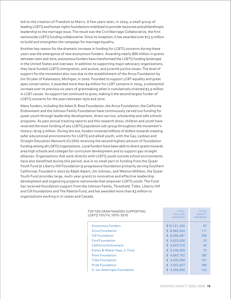led to the creation of Freedom to Marry. A few years later, in 2004, a small group of leading LGBTQ and human rights foundations mobilized to provide resources and philanthropic leadership to the marriage issue. The result was the Civil Marriage Collaborative, the first nationwide LGBTQ funding collaborative. Since its inception, it has awarded over \$13.5 million to build and strengthen the campaign for marriage equality.

Another key reason for the dramatic increase in funding for LGBTQ concerns during these years was the emergence of new anonymous funders. Awarding nearly \$90 million in grants between 2001 and 2010, anonymous funders have transformed the LGBTQ funding landscape in the United States and overseas. In addition to supporting major advocacy organizations, they have funded LGBTQ immigration, and asylum, and juvenile justice issues. The level of support for the movement also rose due to the establishment of the Arcus Foundation by Jon Stryker of Kalamazoo, Michigan, in 2000. Founded to support LGBT equality and great apes conservation, it awarded more than \$4 million for LGBT concerns in 2004, a substantial increase over its previous six years of grantmaking when it cumulatively invested \$3.5 million in LGBT causes. Its support has continued to grow, making it the second largest funder of LGBTQ concerns for the years between 1970 and 2010.

Many funders, including the Adam R. Rose Foundation, the Arcus Foundation, the California Endowment and the Johnson Family Foundation have continuously carved out funding for queer youth through leadership development, direct service, scholarship and safe schools programs. As past annual tracking reports and this research show, children and youth have received the most funding of any LGBTQ population sub-group throughout the movement's history—\$129.5 million. During this era, funders invested millions of dollars towards creating safer educational environments for LGBTQ and allied youth, with the Gay, Lesbian and Straight Education Network (GLSEN) receiving the second highest amount of foundation funding among all LGBTQ organizations. Local funders have been able to direct grants towards area high schools and colleges for curriculum development and to support gay-straight alliances. Organizations that work directly with LGBTQ youth outside school environments have also benefited during this period, due in no small part to funding from the Queer Youth Fund at Liberty Hill Foundation (a progressive foundation primarily serving Southern California). Founded in 2002 by Ralph Alpert, Jim Johnson, and Weston Milliken, the Queer Youth Fund provides large, multi-year grants to innovative and effective leadership development and organizing projects nationwide that empower LGBTQ youth. The Fund has received foundation support from the Johnson Family, Threshold, Tides, Liberty Hill and Gill foundations and The Palette Fund, and has awarded more than \$3 million to organizations working in 21 states and Canada.

| TOP TEN GRANTMAKERS SUPPORTING<br>LGBTQ YOUTH, 1970-2010 | <b>TOTAL</b><br><b>DOLLARS</b><br><b>AWARDED</b> | <b>TOTAL</b><br><b>GRANTS</b><br><b>AWARDED</b> |
|----------------------------------------------------------|--------------------------------------------------|-------------------------------------------------|
| <b>Anonymous Funders</b>                                 | \$15,121,200                                     | 87                                              |
| <b>Arcus Foundation</b>                                  | \$8,960,494                                      | 111                                             |
| <b>Gill Foundation</b>                                   | \$6,006,461                                      | 320                                             |
| <b>Ford Foundation</b>                                   | \$5,622,500                                      | 32                                              |
| California Endowment                                     | \$5,607,515                                      | 46                                              |
| Evelyn & Walter Haas, Jr. Fund                           | \$5,436,500                                      | 72                                              |
| <b>Point Foundation</b>                                  | \$4,667,192                                      | 387                                             |
| <b>Tides Foundation</b>                                  | \$4,635,090                                      | 191                                             |
| <b>Pride Foundation</b>                                  | \$4,553,457                                      | 390                                             |
| H. van Ameringen Foundation                              | 4.296.950<br>\$                                  | 122                                             |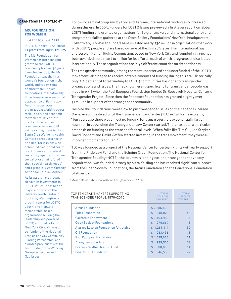### **GRANTMAKER SPOTLIGHT**

### MS. FOUNDATION FOR WOMEN

First LGBTQ Grant: **1978** LGBTQ Support (1970–2010): **64 grants totaling \$1,171,325**

The Ms. Foundation for Women has been making grants to the LGBTQ community for over 30 years. Launched in 1973, the Ms. Foundation was the first women's foundation in the world, and today is one of more than 160 such foundations internationally. It has taken an intersectional approach to philanthropy, funding grassroots organizations working across racial, social and economic movements. Its earliest grants to the lesbian community were in 1978 with a \$4,225 grant to the Santa Cruz Women's Health Center to produce a health booklet "for lesbians who often find traditional health practitioners and medical texts unsympathetic to their sexuality or unmindful of their special health needs" and a grant in 1979 to Custody Action for Lesbian Mothers.

As its assets have grown, so have its investments in LGBTQ issues. It has been a major supporter of the Odyssey Youth Center in Spokane, Washington, a drop-in center for LGBTQ youth, and FIERCE, a membership-based organization building the leadership and power of LGBTQ youth of color in New York City. Ms. was a co-funder of the National Lesbian and Gay Community Funding Partnership, and as noted previously, was the first funder of the Working Group on Lesbian and Gay Issues.

Following seminal programs by Ford and Astraea, international funding also increased during this era. In 2005, Funders for LGBTQ Issues previewed a first-ever report on global LGBTI funding and grantee organizations for 60 grantmakers and international policy and program specialists gathered at the Open Society Foundations' New York headquarters. Collectively, U.S.-based funders have invested nearly \$30 million in organizations that work with LGBTQ people and are based outside of the United States. The International Gay and Lesbian Human Rights Commission, based in New York City and founded in 1990, has been awarded more than \$10 million for its efforts, much of which it regrants or distributes internationally. These organizations are in 94 different countries on six continents.

The transgender community, among the most underserved and underfunded of the LGBTQ movement, also began to receive notable amounts of funding during this era. Historically, only 2.2 percent of total funding to LGBTQ communities has gone to transgender organizations and issues. The first known grant specifically for transgender people was made in 1996 when the Paul Rapoport Foundation funded St. Roosevelt Hospital Center's Transgender Project. Since then the Rapoport Foundation has granted slightly over \$1 million in support of the transgender community.

Despite this, foundations were slow to put transgender issues on their agendas. Masen Davis, executive director of the Transgender Law Center (TLC) in California explains, "Ten years ago there was almost no funding for trans issues. It is exponentially larger now than in 2002 when the Transgender Law Center started. There has been a particular emphasis on funding at the state and federal levels. When folks like Tim Gill, Jon Stryker, David Bohnett and David Geffen started investing in the trans movement, they were all important moments for us."<sup>24</sup>

TLC was founded as a project of the National Center for Lesbian Rights with early support from the Pride Law Fund and the Echoing Green Foundation. The National Center for Transgender Equality (NCTE), the country's leading national transgender advocacy organization, was founded in 2003 by Mara Keisling and has received significant support from the Open Society Foundations, the Arcus Foundation and the Educational Foundation of America.

<sup>24</sup>Masen Davis, interview with author, (January 14, 2011).

| TOP TEN GRANTMAKERS SUPPORTING<br>TRANSGENDER PEOPLE, 1970-2010 | <b>TOTAL</b><br><b>DOLLARS</b><br><b>AWARDED</b> | <b>TOTAL</b><br><b>GRANTS</b><br><b>AWARDED</b> |
|-----------------------------------------------------------------|--------------------------------------------------|-------------------------------------------------|
| <b>Arcus Foundation</b>                                         | \$2,686,400                                      | 30                                              |
| <b>Tides Foundation</b>                                         | \$1,648,020                                      | 45                                              |
| California Endowment                                            | \$1,404,989                                      | 14                                              |
| <b>Open Society Foundations</b>                                 | \$1,279,667                                      | 16                                              |
| Astraea Lesbian Foundation for Justice                          | \$1,251,417                                      | 130                                             |
| <b>Gill Foundation</b>                                          | \$1,053,435                                      | 46                                              |
| <b>Paul Rapoport Foundation</b>                                 | \$1,015,000                                      | 21                                              |
| <b>Anonymous Funders</b>                                        | \$<br>989.500                                    | 18                                              |
| Evelyn & Walter Haas, Jr. Fund                                  | \$<br>580,000                                    | 11                                              |
| Liberty Hill Foundation                                         | \$<br>546,550                                    | 22                                              |
|                                                                 |                                                  |                                                 |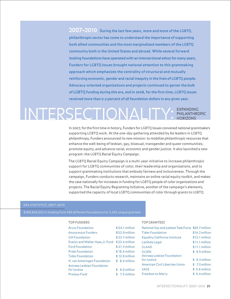<span id="page-20-0"></span>**2007–2010** During the last few years, more and more of the LGBTQ philanthropic sector has come to understand the importance of supporting both allied communities and the most marginalized members of the LGBTQ community both in the United States and abroad. While several forward looking foundations have operated with an intersectional ethos for many years, Funders for LGBTQ Issues brought national attention to this grantmaking approach which emphasizes the centrality of structural and mutually reinforcing economic, gender and racial inequity in the lives of LGBTQ people. Advocacy-oriented organizations and projects continued to garner the bulk of LGBTQ funding during this era, and in 2008, for the first time, LGBTQ issues received more than 0.2 percent of all foundation dollars in any given year.

## EXPANDING INTERSECTIONALITY: FATLEANTHROPIC

In 2007, for the first time in history, Funders for LGBTQ Issues convened national grantmakers supporting LGBTQ work. At the one-day gathering attended by 60 leaders in LGBTQ philanthropy, Funders announced its new mission: to mobilize philanthropic resources that enhance the well-being of lesbian, gay, bisexual, transgender and queer communities, promote equity, and advance racial, economic and gender justice. It also launched a new program: the LGBTQ Racial Equity Campaign.

The LGBTQ Racial Equity Campaign is a multi-year initiative to increase philanthropic support for LGBTQ communities of color, their leadership and organizations, and to support grantmaking institutions that embody fairness and inclusiveness. Through the campaign, Funders conducts research, maintains an online racial equity toolkit, and makes the case nationally for increases in funding for LGBTQ people of color organizations and projects. The Racial Equity Regranting Initiative, another of the campaign's elements, supported the capacity of local LGBTQ communities of color through grants to LGBTQ

### ERA STATISTICS, 2007–2010

\$389,840,052 in funding from 560 different foundations for 3,242 unique grantees

### TOP FUNDERS

### TOP GRANTEES

| $$54.1$ million                                 | National Gay and Lesbian Task Force \$20.7 million |                 |
|-------------------------------------------------|----------------------------------------------------|-----------------|
| $$52.9$ million                                 | <b>Tides Foundation</b>                            | $$14.2$ million |
| $$23.7$ million                                 | <b>Equality California Institute</b>               | \$12.1 million  |
| Evelyn and Walter Haas, Jr. Fund \$23.4 million | Lambda Legal                                       | $$11.1$ million |
| $$21.3$ million                                 | <b>GLAAD</b>                                       | $$11.1$ million |
| $$18.4$ million                                 | <b>GLSEN</b>                                       | $$9.5$ million  |
| $$12.9$ million                                 | Astraea Lesbian Foundation                         |                 |
| $$8.4$ million                                  | for Justice                                        | $$9.3$ million  |
|                                                 | <b>American Civil Liberties Union</b>              | $$7.3$ million  |
| $$8.0$ million                                  | <b>SAGE</b>                                        | $$5.6$ million  |
| $$7.5$ million                                  | <b>Freedom to Marry</b>                            | $$5.4$ million  |
|                                                 |                                                    |                 |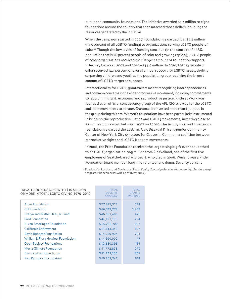public and community foundations. The Initiative awarded \$1.4 million to eight foundations around the country that then matched those dollars, doubling the resources generated by the initiative.

When the campaign started in 2007, foundations awarded just \$7.8 million (nine percent of all LGBTQ funding) to organizations serving LGBTQ people of color.<sup>25</sup> Though the low levels of funding continue (in the context of a U.S. population that is 28 percent people of color and growing rapidly), LGBTQ people of color organizations received their largest amount of foundation support in history between 2007 and 2010—\$44.9 million. In 2010, LGBTQ people of color received 14.1 percent of overall annual support for LGBTQ issues, slightly surpassing children and youth as the population group receiving the largest amount of LGBTQ-targeted support.

Intersectionality for LGBTQ grantmakers meant recognizing interdependencies and common concerns in the wider progressive movement, including commitments to labor, immigrant, economic and reproductive justice. Pride at Work was founded as an official constituency group of the AFL-CIO as a way for the LGBTQ and labor movements to partner. Grantmakers invested more than \$500,000 in the group during this era. Women's foundations have been particularly instrumental in bridging the reproductive justice and LGBTQ movements, investing close to \$2 million in this work between 2007 and 2010. The Arcus, Ford and Overbrook foundations awarded the Lesbian, Gay, Bisexual & Transgender Community Center of New York City \$510,000 for Causes in Common, a coalition between reproductive rights and LGBTQ freedom movements.

In 2008, the Pride Foundation received the largest single gift ever bequeathed to an LGBTQ organization: \$65 million from Ric Weiland, one of the first five employees of Seattle-based Microsoft, who died in 2006. Weiland was a Pride Foundation board member, longtime volunteer and donor. Seventy percent

<sup>25</sup> Funders for Lesbian and Gay Issues, Racial Equity Campaign Benchmarks, www.lgbtfunders.org/ programs/BenchmarksLwRes.pdf (May 2009).

| PRIVATE FOUNDATIONS WITH \$10 MILLION<br>OR MORE IN TOTAL LGBTQ GIVING, 1970-2010 | TOTAL<br>DOLLARS<br><b>AWARDED</b> | <b>TOTAL</b><br>GRANTS<br><b>AWARDED</b> |
|-----------------------------------------------------------------------------------|------------------------------------|------------------------------------------|
| <b>Arcus Foundation</b>                                                           | \$77,395,323                       | 774                                      |
| <b>Gill Foundation</b>                                                            | \$66,319,272                       | 2,208                                    |
| Evelyn and Walter Haas, Jr. Fund                                                  | \$46,601,406                       | 478                                      |
| <b>Ford Foundation</b>                                                            | \$46,123,135                       | 234                                      |
| H. van Ameringen Foundation                                                       | \$25,296,700                       | 687                                      |
| California Endowment                                                              | \$16,344,343                       | 197                                      |
| David Bohnett Foundation                                                          | \$14,739,904                       | 751                                      |
| William & Flora Hewlett Foundation                                                | \$14,390,000                       | 17                                       |
| <b>Open Society Foundations</b>                                                   | \$12,560,398                       | 164                                      |
| <b>Mertz Gilmore Foundation</b>                                                   | \$11,772,835                       | 270                                      |
| David Geffen Foundation                                                           | \$11,752,105                       | 357                                      |
| <b>Paul Rapoport Foundation</b>                                                   | \$10,802,247                       | 614                                      |
|                                                                                   |                                    |                                          |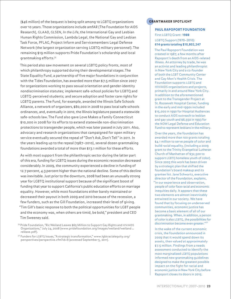(\$46 million) of the bequest is being split among 10 LGBTQ organizations over 10 years. Those organizations include amfAR (The Foundation for AIDS Research), GLAAD, GLSEN, In the Life, the International Gay and Lesbian Human Rights Commission, Lambda Legal, the National Gay and Lesbian Task Force, PFLAG, Project Inform and Servicemembers Legal Defense Network (the largest organization serving LGBTQ military personnel). The remaining \$19 million supports Pride Foundation's scholarship and local grantmaking efforts.<sup>26</sup>

This period also saw movement on several LGBTQ policy fronts, most of which philanthropy supported during their developmental stages. The State Equality Fund, a partnership of five major foundations in conjunction with the Tides Foundation, has awarded more than \$7.5 million since 2007 for organizations working to pass sexual orientation and gender-identity nondiscrimination statutes; implement safe-school policies for LGBTQ and LGBTQ-perceived students; and secure adoption and foster care rights for LGBTQ parents. The Fund, for example, awarded the Illinois Safe Schools Alliance, a network of organizers, \$80,000 in 2008 to pass local safe schools ordinances, and, eventually in 2010, the Illinois legislature passed a statewide safe-schools law. The Fund also gave Love Makes a Family Connecticut \$10,000 in 2008 for its efforts to extend statewide non-discrimination protections to transgender people, which was later passed in July 2011. Also, advocacy and research organizations that campaigned for open military service eventually secured the repeal of "Don't Ask, Don't Tell" in 2011. In the years leading up to the repeal (1987–2010), several dozen grantmaking foundations awarded a total of more than \$13.1 million for these efforts.

As with most support from the philanthropic sector during the latter part of this era, funding for LGBTQ issues during the economic recession decreased considerably. In 2009, the community experienced a decline in funding of 12.7 percent, 4.3 percent higher than the national decline. Some of this decline was inevitable. Just prior to the downturn, 2008 had been an unusually strong year for LGBTQ institutional support because of the significant boost of funding that year to support California's public education efforts on marriage equality. However, while most foundations either barely maintained or decreased their payout in both 2009 and 2010 because of the recession, a few funders, such as the Gill Foundation, increased their level of giving. "Tim Gill's basic response to both the political opportunities for LGBT people and the economy was, when others are timid, be bold," president and CEO Tim Sweeney said.

 $^{26}$  Pride Foundation, "Ric Weiland Leaves \$65 Million to Support Gay Rights and HIV/AIDS Organizations," July 24, 2008 (www.pridefoundation.org/images/weiland/weiland \_ release.pdf).

<sup>27</sup> Funders for LGBTQ Issues, "A strategic transformation," www.Igbtracialequity.org/ perspectives/perspective.cfm?id=9 (accessed September 5, 2011).

### **GRANTMAKER SPOTLIGHT**

### PAUL RAPOPORT FOUNDATION First LGBTQ Grant: **1988** LGBTQ Support (1970–2010): **614 grants totaling \$10,802,247**

The Paul Rapoport Foundation was created in 1987, a few months after Rapoport's death from an AIDS-related illness. An attorney by trade, he was an activist and leading philanthropist in New York City and a co-founder of both the LGBT Community Center and Gay Men's Health Crisis. The Foundation supports LGBTQ and HIV/AIDS organizations and projects, primarily in and around New York City. In addition to the aforementioned grant to the Transgender Project at St. Roosevelt Hospital Center, funding in the early and mid-1990s included \$15,000 in 1990 for Hospital Audiences to conduct AIDS outreach to lesbian and gay youth and \$6,550 in 1993 for the NOW Legal Defense and Education Fund to represent lesbians in the military.

Over the years, the foundation has awarded more than 100 grants totaling \$4.1 million to serve people of color and build racial equality, (including a 2009 grant to the Trinity Evangelical Lutheran Church of Manhattan of \$32,500 to support LGBTQ homeless youth of color). Since 2005 this work has been driven by a strategic plan that shifted the foundation's board makeup and its grantee list. Jane Schwartz, executive director of the Foundation, explains,

"In our experience and observation, people of color face racial and economic inequities daily. It appears that these two elements are almost inextricably entwined in our society. We have found that by focusing on underserved communities, economic justice has become a basic element of all of our grantmaking. When, in addition, a person of color is also LGBTQ, the possibilities for discrimination become even greater."<sup>27</sup>

In the wake of the current economic crisis, the foundation announced in 2009 that it would spend down its assets, then valued at approximately \$7.5 million. Findings from a needs assessment conducted to identify the most marginalized LGBTQ populations informed new grantmaking guidelines designed to make the greatest possible impact on the fight for racial and economic justice in New York City before Rapoport closes its doors in 2015.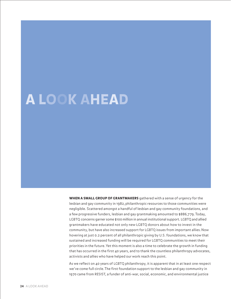# <span id="page-23-0"></span>A LOOK AHEAD

WHEN A SMALL GROUP OF GRANTMAKERS gathered with a sense of urgency for the lesbian and gay community in 1982, philanthropic resources to those communities were negligible. Scattered amongst a handful of lesbian and gay community foundations, and a few progressive funders, lesbian and gay grantmaking amounted to \$886,779. Today, LGBTQ concerns garner some \$100 million in annual institutional support. LGBTQ and allied grantmakers have educated not only new LGBTQ donors about how to invest in the community, but have also increased support for LGBTQ issues from important allies. Now hovering at just 0.2 percent of all philanthropic giving by U.S. foundations, we know that sustained and increased funding will be required for LGBTQ communities to meet their priorities in the future. Yet this moment is also a time to celebrate the growth in funding that has occurred in the first 40 years, and to thank the countless philanthropy advocates, activists and allies who have helped our work reach this point.

As we reflect on 40 years of LGBTQ philanthropy, it is apparent that in at least one respect we've come full circle. The first foundation support to the lesbian and gay community in 1970 came from RESIST, a funder of anti-war, social, economic, and environmental justice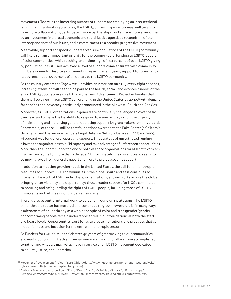movements. Today, as an increasing number of funders are employing an intersectional lens in their grantmaking practices, the LGBTQ philanthropic sector may well begin to form more collaborations, participate in more partnerships, and engage more allies driven by an investment in a broad economic and social justice agenda, a recognition of the interdependency of our issues, and a commitment to a broader progressive movement.

Meanwhile, support for specific underserved sub-populations of the LGBTQ community will likely remain an important priority for the coming years. Funding to LGBTQ people of color communities, while reaching an all-time high of 14.1 percent of total LGBTQ giving by population, has still not achieved a level of support commensurate with community numbers or needs. Despite a continued increase in recent years, support for transgender issues remains at 3.5 percent of all dollars to the LGBTQ community.

As the country enters the "age wave," in which an American turns 65 every eight seconds, increasing attention will need to be paid to the health, social, and economic needs of the aging LGBTQ population as well. The Movement Advancement Project estimates that there will be three million LGBTQ seniors living in the United States by 2030,<sup>28</sup> with demand for services and advocacy particularly pronounced in the Midwest, South and Rockies.

Moreover, as LGBTQ organizations in general are continually challenged to cover basic overhead and to have the flexibility to respond to issues as they occur, the urgency of maintaining and increasing general operating support by grantmakers remains crucial. For example, of the \$10.8 million that foundations awarded to the Palm Center (a California think tank) and the Servicemembers Legal Defense Network between 1995 and 2009, 76 percent was for general operating support. This strategy of unrestricted funding allowed the organizations to build capacity and take advantage of unforeseen opportunities. More than 20 funders supported one or both of those organizations for at least five years in a row, and some for more than a decade.<sup>29</sup> Unfortunately, the current trend seems to be moving away from general support and more to project specific support.

In addition to meeting growing needs in the United States, the call for philanthropic resources to support LGBTI communities in the global south and east continues to intensify. The work of LGBTI individuals, organizations, and networks across the globe brings greater visibility and opportunity; thus, broader support for NGOs committed to securing and safeguarding the rights of LGBTI people, including those of LGBTQ immigrants and refugees worldwide, remains vital.

There is also essential internal work to be done in our own institutions. The LGBTQ philanthropic sector has matured and continues to grow, however, it is, in many ways, a microcosm of philanthropy as a whole: people of color and transgender/gender nonconforming people remain underrepresented in our foundations at both the staff and board levels. Opportunities exist for us to create institutions and practices that can model fairness and inclusion for the entire philanthropic sector.

As Funders for LGBTQ Issues celebrates 40 years of grantmaking to our communities and marks our own thirtieth anniversary—we are mindful of all we have accomplished together and what we may yet achieve in service of an LGBTQ movement dedicated to equity, justice, and liberation.

<sup>&</sup>lt;sup>28</sup> Movement Advancement Project, "LGBT Older Adults," www.lgbtmap.org/policy-and-issue-analysis/ lgbt-older-adults (accessed September 5, 2011).

<sup>&</sup>lt;sup>29</sup> Anthony Bowen and Andrew Lane, "End of Don't Ask, Don't Tell is a Victory for Philanthropy," Chronicle on Philanthropy, July 26, 2011 (www.philanthropy.com/article/article-content/128431/).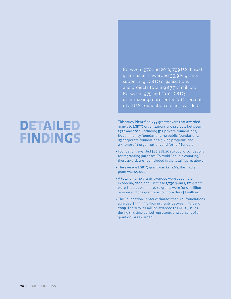# <span id="page-25-0"></span>DETAILED FINDINGS

Between 1970 and 2010, 799 U.S.-based grantmakers awarded 35,916 grants supporting LGBTQ organizations and projects totaling \$771.1 million. Between 1975 and 2010 LGBTQ grantmaking represented 0.12 percent of all U.S. foundation dollars awarded.

- This study identified 799 grantmakers that awarded grants to LGBTQ organizations and projects between 1970 and 2010, including 512 private foundations, 85 community foundations, 92 public foundations, 83 corporate foundations/giving programs and 27 nonprofit organizations and "other" funders.
- Foundations awarded \$46,828,253 to public foundations for regranting purposes. To avoid "double counting," these awards are not included in the total figures above.
- The average LGBTQ grant was \$21,469; the median grant was \$5,000.
- A total of 1,730 grants awarded were equal to or exceeding \$100,000. Of these 1,730 grants, 121 grants were \$500,000 or more, 49 grants were for \$1 million or more and one grant was for more than \$5 million.
- The Foundation Center estimates that U.S. foundations awarded \$559.53 billion in grants between 1975 and 2009. The \$674.12 million awarded to LGBTQ issues during this time period represents 0.12 percent of all grant dollars awarded.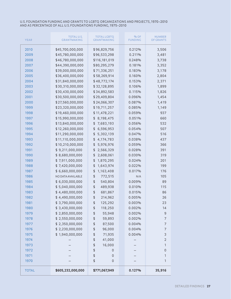### U.S. FOUNDATION FUNDING AND GRANTS TO LGBTQ ORGANIZATIONS AND PROJECTS, 1970–2010 AND AS PERCENTAGE OF ALL U.S. FOUNDATIONS FUNDING, 1975–2010

| <b>YEAR</b>  | TOTAL U.S.<br><b>GRANTMAKING</b>   | <b>TOTAL LGBTQ</b><br><b>GRANTMAKING</b> | $%$ OF<br><b>FUNDING</b> | <b>NUMBER</b><br><b>OF GRANTS</b> |
|--------------|------------------------------------|------------------------------------------|--------------------------|-----------------------------------|
| 2010         | \$45,700,000,000                   | \$96,829,756                             | 0.212%                   | 3,506                             |
| 2009         | \$45,780,000,000                   | \$96,533,298                             | 0.211%                   | 3,481                             |
| 2008         | \$46,780,000,000                   | \$116,181,019                            | 0.248%                   | 3,738                             |
| 2007         | \$44,390,000,000                   | \$80,295,279                             | 0.181%                   | 3,352                             |
| 2006         | \$39,000,000,000                   | \$71,336,251                             | 0.183%                   | 3,178                             |
| 2005         | \$36,400,000,000                   | \$58,269,914                             | 0.160%                   | 2,804                             |
| 2004         | \$31,840,000,000                   | \$48,772,174                             | 0.153%                   | 2,371                             |
| 2003         | \$30,310,000,000                   | \$32,128,895                             | 0.106%                   | 1,899                             |
| 2002         | \$30,430,000,000                   | \$34,892,583                             | 0.115%                   | 1,826                             |
| 2001         | \$30,500,000,000                   | \$29,409,804                             | 0.096%                   | 1,454                             |
| 2000         | \$27,560,000,000                   | \$24,066,307                             | 0.087%                   | 1,419                             |
| 1999         | \$23,320,000,000                   | \$19,711,257                             | 0.085%                   | 1,149                             |
| 1998         | \$19,460,000,000                   | \$11,478,221                             | 0.059%                   | 937                               |
| 1997         | \$15,990,000,000                   | \$<br>8,198,475                          | 0.051%                   | 660                               |
| 1996         | \$13,840,000,000                   | \$<br>7,683,193                          | 0.056%                   | 532                               |
| 1995         | \$12,260,000,000                   | \$<br>6,596,953                          | 0.054%                   | 507                               |
| 1994         | \$11,290,000,000                   | \$<br>5,302,139                          | 0.047%                   | 516                               |
| 1993         | \$11,110,000,000                   | \$<br>4,174,783                          | 0.038%                   | 437                               |
| 1992         | \$10,210,000,000                   | \$<br>5,976,976                          | 0.059%                   | 366                               |
| 1991         | \$9,211,000,000                    | \$<br>2,566,329                          | 0.028%                   | 391                               |
| 1990         | \$8,680,000,000                    | \$<br>2,608,061                          | 0.030%                   | 319                               |
| 1989         | \$7,911,000,000                    | \$<br>1,870,295                          | 0.024%                   | 201                               |
| 1988         | \$7,420,000,000                    | \$<br>1,643,974                          | 0.022%                   | 199                               |
| 1987         | \$6,660,000,000                    | \$<br>1,163,408                          | 0.017%                   | 176                               |
| 1986         | NO DATA AVAILABLE                  | \$<br>772,515                            | N/A                      | 105                               |
| 1985         | \$6,030,000,000                    | \$<br>540,804                            | 0.009%                   | 89                                |
| 1984         | \$5,040,000,000                    | \$<br>489,938                            | 0.010%                   | 115                               |
| 1983         | \$4,480,000,000                    | \$<br>681,867                            | 0.015%                   | 86                                |
| 1982         | \$4,490,000,000                    | \$<br>214,962                            | 0.005%                   | 26                                |
| 1981         | \$3,790,000,000                    | \$<br>125,292                            | 0.003%                   | 23                                |
| 1980         | \$3,430,000,000                    | \$<br>118,250                            | 0.002%                   | 14                                |
| 1979         | \$2,850,000,000                    | \$<br>55,948                             | 0.002%                   | $\mathsf 9$                       |
| 1978         | \$2,550,000,000                    | \$<br>59,893                             | 0.002%                   | 7                                 |
| 1977         | \$2,350,000,000<br>\$2,230,000,000 | \$<br>87,500                             | 0.004%                   | 7                                 |
| 1976         | \$1,940,000,000                    | 96,000<br>\$                             | 0.004%<br>0.004%         | $\overline{7}$                    |
| 1975<br>1974 |                                    | \$<br>71,935<br>41,000                   |                          | 3<br>$\mathbf 2$                  |
| 1973         |                                    | \$<br>16,000<br>\$                       |                          | 1                                 |
| 1972         |                                    | \$<br>0                                  |                          | $\mathsf 0$                       |
| 1971         |                                    | \$<br>0                                  |                          | 1                                 |
| 1970         |                                    | \$<br>$\mathsf{O}\xspace$                |                          | 1                                 |
|              |                                    |                                          |                          |                                   |
| <b>TOTAL</b> | \$605,232,000,000                  | \$771,067,949                            | 0.127%                   | 35,916                            |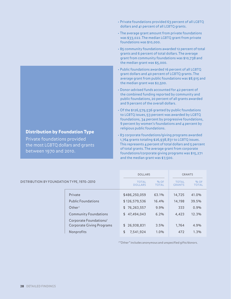- Private foundations provided 63 percent of all LGBTQ dollars and 41 percent of all LGBTQ grants.
- The average grant amount from private foundations was \$33,022. The median LGBTQ grant from private foundations was \$10,000.
- 85 community foundations awarded 12 percent of total grants and 6 percent of total dollars. The average grant from community foundations was \$10,738 and the median grant was \$5,000.
- Public foundations awarded 16 percent of all LGBTQ grant dollars and 40 percent of LGBTQ grants. The average grant from public foundations was \$8,915 and the median grant was \$2,500.
- Donor-advised funds accounted for 42 percent of the combined funding reported by community and public foundations, 20 percent of all grants awarded and 9 percent of the overall dollars.
- Of the \$126,579,536 granted by public foundations to LGBTQ issues, 53 percent was awarded by LGBTQ foundations, 34 percent by progressive foundations, 9 percent by women's foundations and 4 percent by religious public foundations.
- 83 corporate foundations/giving programs awarded 1,764 grants totaling \$26,938,831 to LGBTQ issues. This represents 4 percent of total dollars and 5 percent of total grants. The average grant from corporate foundations/corporate giving programs was \$15,271 and the median grant was \$7,500.

|                                            |                              | <b>DOLLARS</b>                 |                        | <b>GRANTS</b>                 |                        |
|--------------------------------------------|------------------------------|--------------------------------|------------------------|-------------------------------|------------------------|
| DISTRIBUTION BY FOUNDATION TYPE, 1970-2010 |                              | <b>TOTAL</b><br><b>DOLLARS</b> | $%$ OF<br><b>TOTAL</b> | <b>TOTAL</b><br><b>GRANTS</b> | $%$ OF<br><b>TOTAL</b> |
|                                            | Private                      | \$486,250,059                  | 63.1%                  | 14,725                        | 41.0%                  |
|                                            | <b>Public Foundations</b>    | \$126,579,536                  | 16.4%                  | 14,198                        | 39.5%                  |
|                                            | Other <sup>1</sup>           | 76,263,557<br>\$               | 9.9%                   | 333                           | 0.9%                   |
|                                            | <b>Community Foundations</b> | \$47,494,043                   | 6.2%                   | 4,423                         | 12.3%                  |
|                                            | Corporate Foundations/       |                                |                        |                               |                        |
|                                            | Corporate Giving Programs    | \$26,938,831                   | 3.5%                   | 1,764                         | 4.9%                   |
|                                            | Nonprofits                   | 7,541,924<br>\$                | 1.0%                   | 472                           | 1.3%                   |

<sup>1</sup>"Other" includes anonymous and unspecified gifts/donors.

### Distribution by Foundation Type

Private foundations provided the most LGBTQ dollars and grants between 1970 and 2010.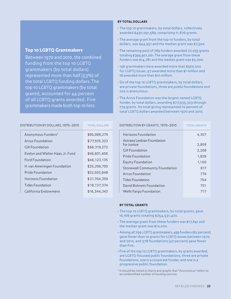### Top 10 LGBTQ Grantmakers

Between 1970 and 2010, the combined funding from the top 10 LGBTQ grantmakers (by total dollars) represented more than half (53%) of the total LGBTQ funding dollars. The top 10 LGBTQ grantmakers (by total grants), accounted for 44 percent of all LGBTQ grants awarded. Five grantmakers made both top 10 lists.

### BY TOTAL DOLLARS

- The top 10 grantmakers, by total dollars, collectively awarded \$430,091,589, comprising 11,876 grants.
- The average grant from the top 10 funders, by total dollars, was \$44,951 and the median grant was \$7,500.
- The remaining pool of 789 funders awarded 27,055 grants totaling \$399,901,061. The average grant from these funders was \$14,781 and the median grant was \$5,000.
- 156 grantmakers have awarded more than \$500,000 for LGBTQ issues, 97 awarded more than \$1 million and 18 awarded more than \$10 million.
- Six of the top 10 LGBTQ grantmakers, by total dollars, are private foundations, three are public foundations and one is anonymous.
- The Arcus Foundation was the largest named LGBTQ funder, by total dollars, awarding \$77,935,323 through 774 grants. Its total giving represented 10 percent of total LGBTQ dollars awarded between 1970 and 2010.

DISTRIBUTION BY GRANTS, 1970–2010

| DISTRIBUTION BY DOLLARS, 1970-2010 | <b>TOTAL DOLLARS</b> |
|------------------------------------|----------------------|
| Anonymous Funders <sup>2</sup>     | \$90,089,279         |
| Arcus Foundation                   | \$77,935,323         |
| Gill Foundation                    | \$66,319,272         |
| Evelyn and Walter Haas, Jr. Fund   | \$46,601,406         |
| <b>Ford Foundation</b>             | \$46,123,135         |
| H. van Ameringen Foundation        | \$25,296,700         |
| Pride Foundation                   | \$22,503,848         |
| Horizons Foundation                | \$21,704,359         |
| <b>Tides Foundation</b>            | \$18,137,374         |
| California Endowment               | \$16,344,343         |

| Horizons Foundation                       | 4,357 |
|-------------------------------------------|-------|
| Astraea Lesbian Foundation<br>for Justice | 2,859 |
| Gill Foundation                           | 2,208 |
| Pride Foundation                          | 1,829 |
| Equity Foundation                         | 1,100 |
| <b>Stonewall Community Foundation</b>     | 817   |
| Arcus Foundation                          | 774   |
| Tides Foundation                          | 754   |
| David Bohnett Foundation                  | 751   |
| Wells Fargo Foundation                    | 717   |

### BY TOTAL GRANTS

- The top 10 LGBTQ grantmakers, by total grants, gave 16,166 grants totaling \$254,531,470.
- The average grant from these funders was \$17,841 and the median grant was \$10,000.
- Among all 799 LGBTQ grantmakers, 499 funders (62 percent) gave fewer than 10 grants for LGBTQ issues between 1970 and 2010, and 378 foundations (47 percent) gave fewer than five.
- Five of the top 10 LGBTQ grantmakers, by grants awarded, are LGBTQ-focused public foundations, three are private foundations, one is a corporate funder, and one is a progressive public foundation.
- <sup>2</sup> It should be noted in charts and graphs that "Anonymous" refers to an unidentified number of funding sources.

TOTAL GRANTS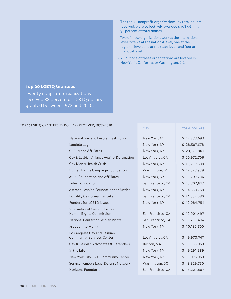- The top 20 nonprofit organizations, by total dollars received, were collectively awarded \$308,963,317, 38 percent of total dollars.
- Two of these organizations work at the international level, twelve at the national level, one at the regional level, one at the state level, and four at the local level.
- All but one of these organizations are located in New York, California, or Washington, D.C.

CITY TOTAL DOLLARS

### Top 20 LGBTQ Grantees

Twenty nonprofit organizations received 38 percent of LGBTQ dollars granted between 1973 and 2010.

### TOP 20 LGBTQ GRANTEES BY DOLLARS RECEIVED, 1973–2010

| National Gay and Lesbian Task Force                             | New York, NY      | \$42,773,693    |
|-----------------------------------------------------------------|-------------------|-----------------|
| Lambda Legal                                                    | New York, NY      | \$28,507,678    |
| <b>GLSEN</b> and <b>Affiliates</b>                              | New York, NY      | \$23,171,901    |
| Gay & Lesbian Alliance Against Defamation                       | Los Angeles, CA   | \$20,972,706    |
| Gay Men's Health Crisis                                         | New York, NY      | \$18,299,688    |
| Human Rights Campaign Foundation                                | Washington, DC    | \$17,077,989    |
| <b>ACLU Foundation and Affiliates</b>                           | New York, NY      | \$15,797,786    |
| <b>Tides Foundation</b>                                         | San Francisco, CA | \$15,302,817    |
| Astraea Lesbian Foundation for Justice                          | New York, NY      | \$14,658,758    |
| <b>Equality California Institute</b>                            | San Francisco, CA | \$14,602,080    |
| Funders for LGBTQ Issues                                        | New York, NY      | \$12,084,751    |
| International Gay and Lesbian<br>Human Rights Commission        | San Francisco, CA | \$10,901,497    |
| National Center for Lesbian Rights                              | San Francisco, CA | \$10,266,494    |
| Freedom to Marry                                                | New York, NY      | \$10,180,500    |
| Los Angeles Gay and Lesbian<br><b>Community Services Center</b> | Los Angeles, CA   | 9,973,747<br>\$ |
| Gay & Lesbian Advocates & Defenders                             | Boston, MA        | \$<br>9,665,353 |
| In the Life                                                     | New York, NY      | 9,291,389<br>\$ |
| New York City LGBT Community Center                             | New York, NY      | \$<br>8,876,953 |
| Servicemembers Legal Defense Network                            | Washington, DC    | 8,329,730<br>\$ |
| Horizons Foundation                                             | San Francisco, CA | \$<br>8,227,807 |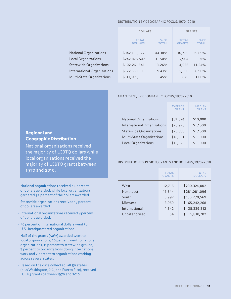### DISTRIBUTION BY GEOGRAPHIC FOCUS, 1970–2010

|                             | <b>DOLLARS</b>                 |                          | <b>GRANTS</b>                 |                        |
|-----------------------------|--------------------------------|--------------------------|-------------------------------|------------------------|
|                             | <b>TOTAL</b><br><b>DOLLARS</b> | $9/6$ OF<br><b>TOTAL</b> | <b>TOTAL</b><br><b>GRANTS</b> | $%$ OF<br><b>TOTAL</b> |
| National Organizations      | \$342,168,522                  | 44.38%                   | 10,735                        | 29.89%                 |
| <b>Local Organizations</b>  | \$242,875,547                  | 31.50%                   | 17,964                        | 50.01%                 |
| Statewide Organizations     | \$102,261,541                  | 13.26%                   | 4,036                         | 11.24%                 |
| International Organizations | \$72,553,003                   | 9.41%                    | 2,508                         | 6.98%                  |
| Multi-State Organizations   | 11,209,336<br>\$               | 1.45%                    | 675                           | 1.88%                  |

### GRANT SIZE, BY GEOGRAPHIC FOCUS, 1970–2010

| <b>AVERAGE</b><br><b>GRANT</b> | <b>MEDIAN</b><br><b>GRANT</b> |
|--------------------------------|-------------------------------|
| \$31,874                       | \$10,000                      |
| \$28,928                       | \$7,500                       |
| \$25,335                       | \$7,500                       |
| \$16,601                       | \$5,000                       |
| \$13,520                       | \$5,000                       |
|                                |                               |

### Regional and Geographic Distribution

National organizations received the majority of LGBTQ dollars while local organizations received the majority of LGBTQ grants between 1970 and 2010.

### • National organizations received 44 percent of dollars awarded, while local organizations garnered 32 percent of the dollars awarded.

- Statewide organizations received 13 percent of dollars awarded.
- International organizations received 9 percent of dollars awarded.
- 50 percent of international dollars went to U.S.-headquartered organizations.
- Half of the grants (50%) awarded went to local organizations, 30 percent went to national organizations, 11 percent to statewide groups, 7 percent to organizations doing international work and 2 percent to organizations working across several states.
- Based on the data collected, all 50 states (plus Washington, D.C., and Puerto Rico), received LGBTQ grants between 1970 and 2010.

### DISTRIBUTION BY REGION, GRANTS AND DOLLARS, 1970–2010

|               | <b>TOTAL</b><br><b>GRANTS</b> | <b>TOTAL</b><br><b>DOLLARS</b> |
|---------------|-------------------------------|--------------------------------|
| West          | 12,715                        | \$230,324,002                  |
| Northeast     | 11,544                        | \$281,081,096                  |
| South         | 5,992                         | \$150,270,569                  |
| Midwest       | 3,959                         | \$65,242,268                   |
| International | 1,642                         | \$38,339,312                   |
| Uncategorized | 64                            | 5,810,702<br>\$                |
|               |                               |                                |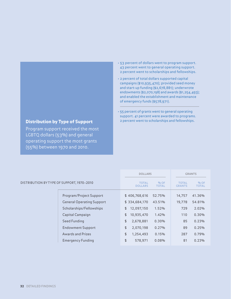### • 53 percent of dollars went to program support. 43 percent went to general operating support. 2 percent went to scholarships and fellowships.

- 2 percent of total dollars supported capital campaigns (\$10,935,470); provided seed money and start-up funding (\$2,678,881); underwrote endowments (\$2,070,198) and awards (\$1,254,493); and enabled the establishment and maintenance of emergency funds (\$578,971).
- 55 percent of grants went to general operating support. 41 percent were awarded to programs. 2 percent went to scholarships and fellowships.

|                                            | <b>DOLLARS</b>                                           | <b>GRANTS</b>                                           |
|--------------------------------------------|----------------------------------------------------------|---------------------------------------------------------|
| DISTRIBUTION BY TYPE OF SUPPORT, 1970-2010 | <b>TOTAL</b><br>$%$ OF<br><b>DOLLARS</b><br><b>TOTAL</b> | <b>TOTAL</b><br>$%$ OF<br><b>TOTAL</b><br><b>GRANTS</b> |
| Program/Project Support                    | \$406,768,616<br>52.75%                                  | 14,757<br>41.36%                                        |
| <b>General Operating Support</b>           | \$334,684,170<br>43.51%                                  | 19,778<br>54.81%                                        |
| Scholarships/Fellowships                   | 12,097,150<br>1.52%<br>\$                                | 2.02%<br>729                                            |
| Capital Campaign                           | \$<br>10,935,470<br>1.42%                                | 0.30%<br>110                                            |
| Seed Funding                               | \$<br>2,678,881<br>0.30%                                 | 0.23%<br>85                                             |
| <b>Endowment Support</b>                   | \$<br>2,070,198<br>0.27%                                 | 89<br>0.25%                                             |
| <b>Awards and Prizes</b>                   | \$<br>1,254,493<br>0.15%                                 | 287<br>0.79%                                            |
| <b>Emergency Funding</b>                   | \$<br>578,971<br>0.08%                                   | 81<br>0.23%                                             |
|                                            |                                                          |                                                         |

### Distribution by Type of Support

Program support received the most LGBTQ dollars (53%) and general operating support the most grants (55%) between 1970 and 2010.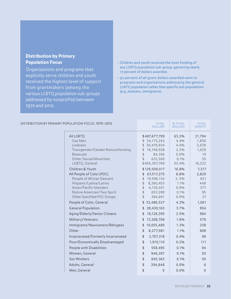### Distribution by Primary Population Focus

Organizations and programs that explicitly serve children and youth received the highest level of support from grantmakers (among the various LGBTQ population sub-groups addressed by nonprofits) between 1970 and 2010.

- Children and youth received the most funding of any LGBTQ population sub-group, garnering nearly 17 percent of dollars awarded.
- 52 percent of all grant dollars awarded went to programs and organizations addressing the general LGBTQ population rather than specific sub-populations (e.g., lesbians, immigrants).

| DISTRIBUTION BY PRIMARY POPULATION FOCUS, 1970-2010                                                                                                                                         | <b>TOTAL</b><br><b>DOLLARS</b>                                                                                                                                             | % TOTAL<br><b>DOLLARS</b>                              | <b>TOTAL</b><br><b>GRANTS</b>                           |
|---------------------------------------------------------------------------------------------------------------------------------------------------------------------------------------------|----------------------------------------------------------------------------------------------------------------------------------------------------------------------------|--------------------------------------------------------|---------------------------------------------------------|
| <b>AII LGBTQ</b><br>Gay Men<br>Lesbians<br>Transgender/Gender Nonconforming<br><b>Bisexuals</b><br><b>Other Sexual Minorities</b><br>LGBTQ, General                                         | \$487,677,799<br>\$34,173,243<br>30,470,934<br>\$<br>16,748,928<br>\$<br>\$<br>84,356<br>\$<br>632,569<br>\$405,367,769                                                    | 63.2%<br>4.4%<br>4.0%<br>2.2%<br>0.0%<br>0.1%<br>52.4% | 21,794<br>1,830<br>2,639<br>1,029<br>19<br>55<br>16,222 |
| Children & Youth<br>All People of Color (POC)<br>People of African Descent<br>Hispanic/Latina/Latino<br>Asian/Pacific Islanders<br>Native American/Two Spirit<br>Other Specified POC Groups | \$129,509,017<br>67,517,275<br>\$<br>19,596,134<br>\$<br>$\updownarrow$<br>8,260,453<br>$\frac{1}{2}$<br>6,136,031<br>$\frac{1}{2}$<br>653,289<br>$\frac{1}{2}$<br>384,841 | 16.8%<br>8.8%<br>2.5%<br>1.1%<br>0.8%<br>0.1%<br>0.0%  | 7,317<br>2,829<br>821<br>448<br>377<br>95<br>27         |
| People of Color, General<br><b>General Population</b>                                                                                                                                       | \$32,486,527<br>\$28,430,163                                                                                                                                               | 4.2%<br>3.7%                                           | 1,061<br>954                                            |
| Aging/Elderly/Senior Citizens<br>Military/Veterans<br>Immigrants/Newcomers/Refugees                                                                                                         | 19,129,395<br>\$<br>\$<br>13,208,708<br>10,055,480<br>\$                                                                                                                   | 2.5%<br>1.6%<br>1.3%                                   | 984<br>579<br>238                                       |
| Other<br>Incarcerated/Formerly Incarcerated                                                                                                                                                 | \$<br>8,277,581<br>\$<br>2,707,318                                                                                                                                         | 1.1%<br>0.4%                                           | 808<br>69                                               |
| Poor/Economically Disadvantaged<br>People with Disabilities                                                                                                                                 | \$<br>1,910,110<br>\$<br>558,495                                                                                                                                           | 0.2%<br>0.1%                                           | 111<br>94                                               |
| Women, General<br>Sex Workers                                                                                                                                                               | $\frac{1}{2}$<br>946,397<br>$\frac{1}{2}$<br>845,363                                                                                                                       | 0.1%<br>0.1%                                           | 93<br>50                                                |
| Adults, General<br>Men, General                                                                                                                                                             | \$<br>294,848<br>$\, \, \mathsf{S} \,$<br>0                                                                                                                                | 0.0%<br>0.0%                                           | 6<br>$\overline{0}$                                     |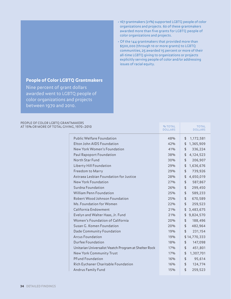### People of Color LGBTQ Grantmakers

Nine percent of grant dollars awarded went to LGBTQ people of color organizations and projects between 1970 and 2010.

### PEOPLE OF COLOR LGBTQ GRANT AT 15% OR MORE OF TOTAL GIVIN

- 167 grantmakers (21%) supported LGBTQ people of color organizations and projects. 60 of these grantmakers awarded more than five grants for LGBTQ people of color organizations and projects.
- Of the 144 grantmakers that provided more than \$500,000 (through 10 or more grants) to LGBTQ communities, 25 awarded 15 percent or more of their all-time LGBTQ giving to organizations or projects explicitly serving people of color and/or addressing issues of racial equity.

| <b>TMAKERS</b><br>NG, 1970-2010                       | <b>% TOTAL</b><br><b>DOLLARS</b> | <b>TOTAL</b><br><b>DOLLARS</b> |
|-------------------------------------------------------|----------------------------------|--------------------------------|
|                                                       |                                  |                                |
| <b>Public Welfare Foundation</b>                      | 48%                              | 1,172,581<br>\$                |
| Elton John AIDS Foundation                            | 42%                              | \$<br>1,365,909                |
| New York Women's Foundation                           | 41%                              | \$<br>336,224                  |
| Paul Rapoport Foundation                              | 38%                              | 4,124,523<br>\$                |
| North Star Fund                                       | 30%                              | \$<br>206,907                  |
| Liberty Hill Foundation                               | 29%                              | \$<br>1,636,676                |
| Freedom to Marry                                      | 29%                              | \$<br>739,926                  |
| Astraea Lesbian Foundation for Justice                | 28%                              | \$<br>4,650,019                |
| New York Foundation                                   | 27%                              | \$<br>587,867                  |
| Surdna Foundation                                     | 26%                              | \$<br>299,450                  |
| <b>William Penn Foundation</b>                        | 25%                              | \$<br>589,233                  |
| Robert Wood Johnson Foundation                        | 25%                              | \$<br>670,589                  |
| Ms. Foundation for Women                              | 22%                              | \$<br>259,523                  |
| California Endowment                                  | 21%                              | \$<br>3,483,675                |
| Evelyn and Walter Haas, Jr. Fund                      | 21%                              | \$<br>9,824,570                |
| Women's Foundation of California                      | 20%                              | \$<br>188,496                  |
| Susan G. Komen Foundation                             | 20%                              | \$<br>482,964                  |
| Dade Community Foundation                             | 19%                              | \$<br>231,154                  |
| <b>Arcus Foundation</b>                               | 19%                              | \$14,770,333                   |
| Durfee Foundation                                     | 18%                              | \$<br>147,098                  |
| Unitarian Universalist Veatch Program at Shelter Rock | 17%                              | \$<br>451,801                  |
| New York Community Trust                              | 17%                              | \$<br>1,307,701                |
| <b>PFund Foundation</b>                               | 16%                              | \$<br>95,614                   |
| Rich Eychaner Charitable Foundation                   | 16%                              | \$<br>124,774                  |
| <b>Andrus Family Fund</b>                             | 15%                              | \$<br>259,523                  |
|                                                       |                                  |                                |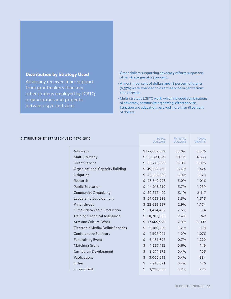### Distribution by Strategy Used

Advocacy received more support from grantmakers than any other strategy employed by LGBTQ organizations and projects between 1970 and 2010.

- Grant dollars supporting advocacy efforts surpassed other strategies at 23 percent.
- Almost 11 percent of dollars and 18 percent of grants (6,376) were awarded to direct-service organizations and projects.
- Multi-strategy LGBTQ work, which included combinations of advocacy, community organizing, direct service, litigation and education, received more than 18 percent of dollars.

| DISTRIBUTION BY STRATEGY USED, 1970-2010 | <b>TOTAL</b><br><b>DOLLARS</b> | % TOTAL<br><b>DOLLARS</b> | <b>TOTAL</b><br><b>GRANTS</b> |
|------------------------------------------|--------------------------------|---------------------------|-------------------------------|
| Advocacy                                 | \$177,609,059                  | 23.0%                     | 5,526                         |
| Multi-Strategy                           | \$139,529,129                  | 18.1%                     | 4,555                         |
| <b>Direct Service</b>                    | \$83,215,520                   | 10.8%                     | 6,376                         |
| Organizational Capacity Building         | \$49,554,736                   | 6.4%                      | 1,424                         |
| Litigation                               | \$48,552,809                   | 6.3%                      | 1,873                         |
| Research                                 | 46,540,706<br>\$               | 6.0%                      | 1,016                         |
| <b>Public Education</b>                  | \$44,016,319                   | 5.7%                      | 1,289                         |
| Community Organizing                     | 39,318,420<br>\$               | 5.1%                      | 2,417                         |
| Leadership Development                   | \$27,053,686                   | 3.5%                      | 1,515                         |
| Philanthropy                             | \$22,625,557                   | 2.9%                      | 1,174                         |
| Film/Video/Radio Production              | \$19,434,487                   | 2.5%                      | 994                           |
| Training/Technical Assistance            | \$18,702,563                   | 2.4%                      | 742                           |
| Arts and Cultural Work                   | 17,669,995<br>\$               | 2.3%                      | 3,397                         |
| Electronic Media/Online Services         | \$<br>9,180,020                | 1.2%                      | 338                           |
| Conferences/Seminars                     | \$<br>7,508,224                | 1.0%                      | 1,076                         |
| <b>Fundraising Event</b>                 | $\updownarrow$<br>5,461,608    | 0.7%                      | 1,220                         |
| Matching Grant                           | \$<br>4,667,452                | 0.6%                      | 149                           |
| Curriculum Development                   | $\frac{1}{2}$<br>3,271,975     | 0.4%                      | 105                           |
| Publications                             | $\updownarrow$<br>3,000,245    | 0.4%                      | 334                           |
| Other                                    | $\frac{1}{2}$<br>2,916,571     | 0.4%                      | 126                           |
| Unspecified                              | \$<br>1,238,868                | 0.2%                      | 270                           |
|                                          |                                |                           |                               |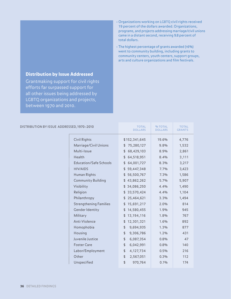### Distribution by Issue Addressed

Grantmaking support for civil rights efforts far surpassed support for all other issues being addressed by LGBTQ organizations and projects, between 1970 and 2010.

- Organizations working on LGBTQ civil rights received 19 percent of the dollars awarded. Organizations, programs, and projects addressing marriage/civil unions came in a distant second, receiving 9.8 percent of total dollars.
- The highest percentage of grants awarded (16%) went to community building, including grants to community centers, youth centers, support groups, arts and culture organizations and film festivals.

| ED, 1970-2010                 | <b>TOTAL</b><br><b>DOLLARS</b> | % TOTAL<br><b>DOLLARS</b> | <b>TOTAL</b><br><b>GRANTS</b> |
|-------------------------------|--------------------------------|---------------------------|-------------------------------|
| Civil Rights                  | \$152,341,645                  | 19.6%                     | 4,776                         |
| Marriage/Civil Unions         | 75,280,127<br>\$               | 9.8%                      | 1,532                         |
| Multi-Issue                   | 68,429,103<br>\$               | 8.9%                      | 2,861                         |
| Health                        | 64,518,951<br>\$               | 8.4%                      | 3,111                         |
| Education/Safe Schools        | \$<br>64,001,727               | 8.3%                      | 3,217                         |
| <b>HIV/AIDS</b>               | \$59,447,348                   | 7.7%                      | 3,423                         |
| Human Rights                  | 56,500,767<br>\$               | 7.3%                      | 1,586                         |
| <b>Community Building</b>     | 43,862,262<br>\$               | 5.7%                      | 5,907                         |
| Visibility                    | 34,086,250<br>\$               | 4.4%                      | 1,490                         |
| Religion                      | \$<br>33,570,424               | 4.4%                      | 1,104                         |
| Philanthropy                  | 25,464,621<br>\$               | 3.3%                      | 1,494                         |
| <b>Strengthening Families</b> | \$<br>15,691,217               | 2.0%                      | 814                           |
| Gender Identity               | 14,580,455<br>\$               | 1.9%                      | 945                           |
| Military                      | \$<br>13,194,116               | 1.8%                      | 767                           |
| Anti-Violence                 | \$<br>12,301,321               | 1.6%                      | 892                           |
| Homophobia                    | \$<br>9,694,935                | 1.3%                      | 877                           |
| Housing                       | \$<br>9,306,786                | 1.2%                      | 431                           |
| Juvenile Justice              | \$<br>6,087,354                | 0.8%                      | 47                            |
| <b>Foster Care</b>            | \$<br>6,042,991                | 0.8%                      | 140                           |
| Labor/Employment              | \$<br>4,127,734                | 0.5%                      | 216                           |
| Other                         | \$<br>2,567,051                | 0.3%                      | 112                           |
| Unspecified                   | \$<br>970,764                  | 0.1%                      | 174                           |

### DISTRIBUTION BY ISSUE ADDRESSI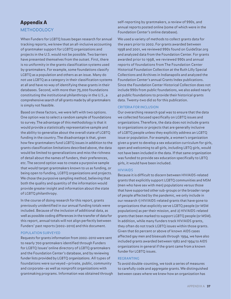### <span id="page-36-0"></span>Appendix A METHODOLOGY

When Funders for LGBTQ Issues began research for annual tracking reports, we knew that an all-inclusive accounting of grantmaker support for LGBTQ organizations and projects in the U.S. would not be possible. Two barriers have presented themselves from the outset. First, there is no uniformity in the grants classification systems used by grantmakers. For example, some foundations classify LGBTQ as a population and others as an issue. Many do not use LGBTQ as a category in their classification systems at all and have no way of identifying these grants in their databases. Second, with more than 75,000 foundations constituting the institutional philanthropy in the U.S., a comprehensive search of all grants made by all grantmakers is simply not feasible.

Based on these factors, we were left with two options. One option was to select a random sample of foundations to survey. The advantage of this methodology is that it would provide a statistically representative sample and the ability to generalize about the overall state of LGBTQ funding in the country. The disadvantage is that, given how few grantmakers fund LGBTQ issues in addition to the grants classification limitations described above, the data would be limited to generalizations and miss the richness of detail about the names of funders, their preferences, etc. The second option was to create a purposive sample that would target grantmakers known to us as funding, or being open to funding, LGBTQ organizations and projects. We chose the purposive sampling method, believing that both the quality and quantity of the information would provide greater insight and information about the state of LGBTQ philanthropy.

In the course of doing research for this report, grants previously unidentified in our annual funding totals were included. Because of the inclusion of additional data, as well as possible coding differences in the transfer of data for this report, annual totals will not align perfectly between Funders' past reports (2002–2010) and this document.

### POPULATION SURVEYED

Requests for grants information from 2002–2010 were sent to nearly 700 grantmakers identified through Funders for LGBTQ Issues' online directory of LGBTQ grantmakers and the Foundation Center's database, and by reviewing funder lists provided by LGBTQ organizations. All types of foundations were surveyed —private, public, community and corporate—as well as nonprofit organizations with grantmaking programs. Information was obtained through self-reporting by grantmakers, a review of 990s, and annual reports posted online (some of which were in the Foundation Center's online database).

We used a variety of methods to collect grants data for the years prior to 2002. For grants awarded between 1998 and 2001, we reviewed 990s found on GuideStar.org and analyzed data from the Foundation Center. For grants awarded prior to 1998, we reviewed 990s and annual reports of foundations from The Foundation Center Historical Foundation Collection at the Ruth Lilly Special Collections and Archives in Indianapolis and analyzed the Foundation Center's annual Grants Index publications. Since the Foundation Center Historical Collection does not include 990s from public foundations, we also asked nearly 40 public foundations to provide their historical grants data. Twenty-two did so for this publication.

### CRITERIA FOR INCLUSION

Our overarching research goal was to ensure that the data we collected focused specifically on LGBTQ issues and organizations. Therefore, the data does not include grants to organizations or projects that are generally inclusive of LGBTQ people unless they explicitly address an LGBTQ issue or population. For example, a women's organization given a grant to develop a sex education curriculum for girls, open and welcoming to all girls, including LBTQ girls, would not have been included in the data. If that same organization was funded to provide sex education specifically to LBTQ girls, it would have been included.

### HIV/AIDS

Because it is difficult to discern between HIV/AIDS-related grants that explicitly support LGBTQ communities and MSM (men who have sex with men) populations versus those that have supported other sub-groups or the broader range of people affected by the pandemic, we only include in our research 1) HIV/AIDS-related grants that have gone to organizations that explicitly serve LGBTQ people (or MSM populations) as per their mission, and 2) HIV/AIDS-related grants that been marked to support LGBTQ people (or MSM). In addition, while many funders track HIV/AIDS grants, they often do not track LGBTQ issues within those grants. Given that 60 percent or above of known AIDS cases affected gay men and bisexuals through 1994, we have also included grants awarded between 1982 and 1994 to AIDS organizations in general if the grant came from a known funder for LGBTQ issues.

### REGRANTING

To avoid double-counting, we took a series of measures to carefully code and aggregate grants. We distinguished between cases where we knew how an organization has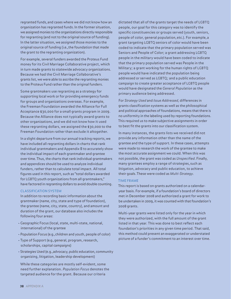regranted funds, and cases where we did not know how an organization has regranted funds. In the former situation, we assigned monies to the organizations directly responsible for regranting (and not to the original source of funding). In the latter situation, we assigned those monies to the original source of funding (i.e., the foundation that made the grant to the regranting organization).

For example, several funders awarded the Proteus Fund money for its Civil Marriage Collaborative project, which in turn made grants to statewide advocacy organizations. Because we had the Civil Marriage Collaborative's grants list, we were able to ascribe the regranting monies to the Proteus Fund rather than the original funders.

Some grantmakers use regranting as a strategy for supporting local work or for providing emergency funds for groups and organizations overseas. For example, the Freeman Foundation awarded the Alliance for Full Acceptance \$30,000 for a small grants program in 2009. Because the Alliance does not typically award grants to other organizations, and we did not know how it used these regranting dollars, we assigned the \$30,000 to the Freeman Foundation rather than exclude it altogether.

In a slight departure from our annual tracking reports, we have included all regranting dollars in charts that rank individual grantmakers and Appendix B to accurately show the individual impact of each grantmaker and grantee over time. Thus, the charts that rank individual grantmakers and appendices should be used to analyze individual funders, rather than to calculate total impact. All total figures used in this report, such as "total dollars awarded for LGBTQ youth organizations from all grantmakers," have factored in regranting dollars to avoid double counting.

### CLASSIFICATION SYSTEM

In addition to recording basic information about the grantmaker (name, city, state and type of foundation), the grantee (name, city, state, country), and amount and duration of the grant, our database also includes the following four areas:

- Geographic Focus (local, state, multi-state, national, international) of the grantee
- Population Focus (e.g., children and youth, people of color)
- Type of Support (e.g., general, program, research, scholarships, capital campaigns)
- Strategies Used (e.g., advocacy, public education, community organizing, litigation, leadership development)

While these categories are mostly self-evident, some need further explanation. Population Focus denotes the targeted audience for the grant. Because our criteria

dictated that all of the grants target the needs of LGBTQ people, our goal for this category was to identify the specific constituencies or groups served (youth, seniors, people of color, general population, etc.). For example, a grant targeting LGBTQ seniors of color would have been coded to indicate that the primary population served was Seniors and People of Color; a grant addressing LGBTQ people in the military would have been coded to indicate that the primary population served was People in the Military; a grant working for the human rights of LGBTQ people would have indicated the population being addressed or served as LGBTQ; and a public education campaign to create greater acceptance of LGBTQ people would have designated the General Population as the primary audience being addressed.

For Strategy Used and Issue Addressed, differences in grants classification systems as well as the philosophical and political approaches of foundations, means that there is no uniformity in the labeling used by reporting foundations. This required us to make subjective assignments in order to best fit the grants into our classification system.

In many instances, the grants lists we received did not provide any information other than the name of the grantee and the type of support. In these cases, attempts were made to research the work of the grantee to make the most accurate assignment we could. When this was not possible, the grant was coded as Unspecified. Finally, many grantees employ a range of strategies, such as litigation, advocacy and public education, to achieve their goals. These were coded as Multi-Strategy.

### TIME FRAME

This report is based on grants authorized on a calendaryear basis. For example, if a foundation's board of directors met in December 2008 and authorized a grant for work to be undertaken in 2009, it was counted with that foundation's 2008 grants.

Multi-year grants were listed only for the year in which they were authorized, with the full amount of the grant listed in that year. This was done to best reflect each foundation's priorities in any given time period. That said, this method could present an exaggerated or understated picture of a funder's commitment to an interest over time.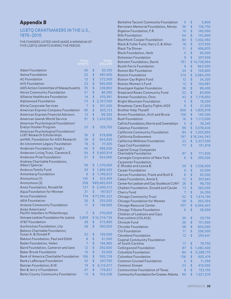### <span id="page-38-0"></span>Appendix B

### LGBTQ GRANTMAKERS IN THE U.S., 1970–2010

THE FUNDERS LISTED HAVE MADE A MINIMUM OF FIVE LGBTQ GRANTS DURING THE PERIOD.

|                                                       |                |                |                | <b>Block Foundation, Herb</b>                            | 5   | \$                     | 65,000       |
|-------------------------------------------------------|----------------|----------------|----------------|----------------------------------------------------------|-----|------------------------|--------------|
|                                                       |                |                |                | <b>Bohemian Foundation</b>                               | 9   | \$                     | 297,500      |
|                                                       | <b>TOTAL</b>   |                | <b>TOTAL</b>   | <b>Bohnett Foundation, David</b>                         | 751 |                        | \$14,739,904 |
|                                                       | <b>GRANTS</b>  |                | <b>DOLLARS</b> | <b>Booth Ferris Foundation</b>                           | 9   | \$                     | 863,000      |
| <b>Adam Foundation</b>                                | 40             | \$             | 63,105         | <b>Boston Bar Foundation</b>                             | 24  | \$                     | 109,800      |
| Aetna Foundation                                      | 22             | \$             | 487,400        | <b>Boston Foundation</b>                                 | 314 | \$                     | 2,084,200    |
| <b>AG Foundation</b>                                  | 12             | \$             | 272,500        | <b>Boston Gay Rights Fund</b>                            | 12  | \$                     | 34,300       |
| <b>AHS Foundation</b>                                 | 23             | \$             | 565,000        | Boston Women's Fund                                      | 12  | $\boldsymbol{\hat{z}}$ | 104,981      |
| AIDS Action Committee of Massachusetts                | 35             | \$             | 328,803        | Brautigam Kaplan Foundation                              | 26  | \$                     | 89,400       |
| Akron Community Foundation                            | 31             | \$             | 86,595         | <b>Bread and Roses Community Fund</b>                    | 22  | $\frac{1}{2}$          | 83,900       |
| Alliance Healthcare Foundation                        | 14             | \$             | 470,591        | <b>Bremer Foundation, Otto</b>                           | 43  | \$                     | 1,119,850    |
| Alphawood Foundation                                  | 73             | \$             | 2,357,500      | <b>Bright Mountain Foundation</b>                        | 5   | $\mathfrak{S}$         | 18,500       |
| Altria Corporate Services                             | $\overline{7}$ | $\frac{1}{2}$  | 201,500        | <b>Broadway Cares Equity Fights AIDS</b>                 | 9   | $\mathfrak{S}$         | 21,000       |
| American Express Company Foundation                   | 90             | $\mathfrak{D}$ | 825,123        | <b>Brother Help Thyself</b>                              | 656 | \$                     | 1,830,978    |
| American Express Financial Advisors                   | 12             | \$             | 89,305         | Brown Foundation, Arch and Bruce                         | 136 | \$                     | 140,300      |
| American Jewish World Service                         | 91             | \$             | 1,434,935      | <b>Bush Foundation</b>                                   | 16  | \$                     | 1,113,000    |
| American Psychological Foundation/                    |                |                |                | Cafritz Foundation, Morris and Gwendolyn                 | 5   | \$                     | 39,245       |
| Evelyn Hooker Program                                 | 23             | $\mathfrak{S}$ | 329,705        | <b>Calamus Foundation</b>                                | 99  | \$                     | 3,578,636    |
| American Psychological Foundation/                    |                |                |                | California Community Foundation                          |     |                        |              |
| <b>LGBT Research Scholarships</b>                     | 36             | \$             | 619,898        |                                                          | 84  | \$                     | 1,203,855    |
| amfAR, Foundation for AIDS Research                   | 38             | $\mathfrak{D}$ | 664,620        | California Endowment                                     | 197 |                        | \$16,344,343 |
| An Uncommon Legacy Foundation                         | 18             | $\mathfrak{S}$ | 37,305         | California Wellness Foundation                           | 23  | \$                     | 3,327,500    |
| Andersen Foundation, Hugh J.                          | 40             | \$             | 388,500        | Cape Cod Foundation                                      | 77  | \$                     | 191,818      |
| Anderson Living Trust, Clarence E.                    | 54             | \$             | 5,693,914      | <b>Capital Group Companies</b><br>Charitable Foundation  | 97  | $\mathfrak{D}$         | 171,920      |
| Anderson Prize Foundation                             | 31             | \$             | 554,000        | Carnegie Corporation of New York                         |     | \$                     |              |
| Andrew Charitable Foundation,                         |                |                |                |                                                          | 6   |                        | 259,500      |
| Albert Spencer                                        | 59             |                | \$1,370,000    | Carpenter Foundation,<br>E. Rhodes and Leona B.          | 29  | \$                     | 1,536,000    |
| <b>Andurus Family Fund</b>                            | 20             | \$             | 1,689,500      | <b>Carper Foundation</b>                                 | 5   | \$                     | 42,500       |
| Annenberg Foundation                                  | 6              | \$             | 1,749,623      | Caruso Foundation, Frank and Ruth E.                     | 6   | \$                     | 63,500       |
| Anonymous (1)                                         | 145            | \$             | 423,450        | Casey Foundation, Annie E.                               | 12  | $\boldsymbol{\hat{z}}$ | 307,063      |
| Anonymous (2)                                         | 358            |                | \$89,665,829   |                                                          |     | \$                     |              |
| Ansin Foundation, Ronald M.                           | 137            |                | \$2,400,512    | Center for Lesbian and Gay Studies at CUNY               | 26  |                        | 98,750       |
| Aqua Foundation for Women                             | 31             | \$             | 197,927        | Chaiken Foundation, Donald and Carole                    | 13  | \$                     | 262,200      |
| <b>Arcus Foundation</b>                               | 774            |                | \$77,395,323   | Cherry Fund                                              | 7   | $\frac{1}{2}$          | 24,350       |
| <b>ARIA Foundation</b>                                | 26             | $\mathfrak{D}$ | 255,000        | Chicago Community Trust                                  | 52  | $\sqrt{2}$             | 1,914,100    |
|                                                       |                |                |                | Chicago Foundation for Women                             | 58  | $\mathfrak{S}$         | 303,304      |
| Arizona Community Foundation                          | 11             | \$             | 138,000        | Chicago Resource Center                                  | 707 | \$                     | 4,056,403    |
| Asian Americans/<br>Pacific Islanders in Philanthropy | 7              | \$             | 270,000        | Chicago Tribune Foundation                               | 6   | \$                     | 28,000       |
| Astraea Lesbian Foundation for Justice                | 2,859          |                | \$16,319,736   | Children of Lesbians and Gays                            |     |                        |              |
| AT&T Foundation                                       | 28             | $\frac{1}{2}$  | 513,800        | Everywhere (COLAGE)                                      | 30  | \$                     | 29,750       |
| Auchincloss Foundation, Lily                          | 28             | \$             | 360,000        | Chinook Fund                                             | 26  | \$                     | 151,000      |
| Babson Charitable Foundation,                         |                |                |                | <b>Chrysler Foundation</b>                               | 28  | \$                     | 604,000      |
| Susan A. & Donald P.                                  | 22             | \$             | 159,000        | Citi Foundation                                          | 11  | \$                     | 208,500      |
| Babson Foundation, Paul and Edith                     | 8              | \$             | 61,500         | <b>Cleveland Foundation</b>                              | 12  | $\mathfrak{S}$         | 259,641      |
| Bader Foundation, Helen                               | 7              | \$             | 184,965        | <b>Coastal Community Foundation</b><br>of South Carolina |     |                        |              |
| Baird Foundation, Cameron and Jane                    |                |                |                |                                                          | 17  | \$                     | 79,750       |
| <b>Baker Brook Foundation</b>                         | 12<br>10       | \$<br>\$       | 250,000        | <b>Collingwood Foundation</b>                            | 87  | \$                     | 1,482,400    |
| Bank of America Charitable Foundation                 |                |                | 24,000         | Columbia Foundation                                      | 84  | \$                     | 5,289,175    |
|                                                       | 106            | \$             | 595,739        | <b>Columbus Foundation</b>                               | 136 | $\mathfrak{S}$         | 605,474      |
| <b>Banky LaRocque Foundation</b>                      | 33             | \$             | 207,700        | <b>Common Counsel Foundation</b>                         | 5   | \$                     | 11,350       |
| Bastian Foundation, B.W.                              | 19             | \$             | 6,110,017      | <b>Common Stream</b>                                     | 23  | \$                     | 410,000      |
| Ben & Jerry's Foundation                              | 47             | $\mathfrak{S}$ | 179,821        | <b>Communities Foundation of Texas</b>                   | 8   | \$                     | 153,150      |
| Berks County Community Foundation                     | 13             | \$             | 154,438        | Community Foundation for Greater Atlanta                 | 90  | \$                     | 1,021,519    |

Berkshire Taconic Community Foundation 5 \$ 5,800 Bernstein Memorial Foundation, Morey 36 \$ 136,750 Bigelow Foundation, F.R. 10 \$ 165,000<br>Bills Foundation 64 \$ 142,800

Blachford-Cooper Foundation 84 \$ 1,402,492 Black & Fuller Fund, Harry S. & Allon 18 \$ 237,500 Black Tie Dinner 11 \$ 908,870

Bills Foundation 64 \$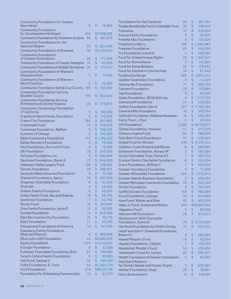| <b>Community Foundation for Greater</b>                      |                |               | <b>Foundation for the Carolinas</b>           | 89             | \$             | 581,454      |
|--------------------------------------------------------------|----------------|---------------|-----------------------------------------------|----------------|----------------|--------------|
| New Haven                                                    | 6              | \$<br>16,860  | Fowler-Bombardier Family Charitable Trust     | 25             | \$             | 749,018      |
| <b>Community Foundation</b>                                  |                |               | Frameline                                     | 37             | \$             | 210,000      |
| for Southeastern Michigan                                    | 353            | \$3,598,636   | <b>Francis Family Foundation</b>              | 9              | \$             | 49,000       |
| Community Foundation for Southern Arizona 89                 |                | \$<br>467,915 | Freddie Mac Foundation                        | 5              | $\mathsf{\$}$  | 130,625      |
| Community Foundation for the                                 |                |               | Freedom to Marry                              | 108            |                | \$2,563,882  |
| <b>National Region</b>                                       | 54             | \$<br>653,009 | <b>Freeman Foundation</b>                     | 85             | \$             | 644,250      |
| Community Foundation of Broward                              | 36             | \$1,274,915   | Fry Foundation, Lloyd A.                      | $\overline{7}$ | \$             | 236,000      |
| <b>Community Foundation</b>                                  |                |               | Fund for Global Human Rights                  |                | \$             |              |
| of Greater Greensboro                                        | 26             | \$<br>171,206 |                                               | 65             |                | 1,047,331    |
| <b>Community Foundation of Greater Memphis</b>               | 18             | \$<br>94,928  | <b>Fund for Nonviolence</b>                   | 7              | \$             | 141,000      |
| Community Foundation of Middle Tennessee 38                  |                | \$<br>174,227 | <b>Fund for Santa Barbara</b>                 | 25             | \$             | 179,582      |
| Community Foundation of Western                              |                |               | <b>Fund for Southern Communities</b>          | 20             | $\mathfrak{L}$ | 81,446       |
| Massachusetts                                                | $\overline{7}$ | \$<br>17,565  | <b>Funding Exchange</b>                       | 465            | \$             | 3,652,012    |
| <b>Community Foundation of Western</b>                       |                |               | <b>Galaher Awareness Foundation</b>           | 8              | $\mathfrak{S}$ | 12,300       |
| North Carolina                                               | 5              | \$<br>32,800  | Gamma Mu Foundation                           | 71             | \$             | 482,100      |
| Community Foundation Santa Cruz County 186                   |                | \$<br>756,300 | <b>Gannett Foundation</b>                     | 22             | \$             | 170,680      |
| <b>Community Foundation Serving</b><br><b>Boulder County</b> | 190            | \$<br>453,044 | <b>Gap Foundation</b>                         | 5              | $\mathsf{\$}$  | 95,000       |
| <b>Community Foundation Serving</b>                          |                |               | <b>Gates Foundation, Bill &amp; Melinda</b>   | 8              | \$             | 1,773,700    |
| Richmond and Central Virginia                                | 20             | \$<br>275,613 | Gatewood Foundation                           | 33             | \$             | 222,000      |
| Community Technology Foundation                              |                |               | Geffen Foundation, David                      | 357            |                | \$11,752,105 |
| of California                                                | 5              | \$<br>180,000 | <b>General Mills Foundation</b>               | 18             | \$             | 205,000      |
| Crawford Idema Family Foundation                             | 6              | \$<br>110,000 | Gerbode Foundation, Wallace Alexander         | 18             | $\mathsf{\$}$  | 300,000      |
| Cream City Foundation                                        | 284            | \$<br>821,600 | Getty Trust, J. Paul                          | 5              | $\mathsf{\$}$  | 47,200       |
| Crossroads Fund                                              | 47             | \$<br>239,293 | <b>Gill Foundation</b>                        | 2,208          |                | \$66,319,272 |
| Cummings Foundation, Nathan                                  | 9              | \$<br>288,425 | Gilman Foundation, Howard                     | 51             | \$             | 277,325      |
| <b>Currents of Change</b>                                    | 6              | \$<br>100,000 | Gilmour-Jirgens Fund                          | 140            | \$             | 788,500      |
| Dade Community Foundation                                    | 153            | \$1,186,220   | <b>Girls Best Friend Foundation</b>           | 27             | \$             | 229,404      |
| Dallas Women's Foundation                                    | 8              | \$<br>75,960  | Global Fund for Women                         | 349            | \$.            | 4,274,324    |
|                                                              | 6              | \$            | Goldman Fund, Richard and Rhoda               | 10             | \$             |              |
| Day Foundation, Doris and Victor                             |                | 13,000        |                                               |                | $\mathsf{\$}$  | 365,000      |
| <b>DBJ</b> Foundation                                        | 10             | \$<br>284,500 | Goldsmith Foundation, Horace W.               | 5              |                | 185,000      |
| DeCamp Foundation, Ira                                       | 9              | \$<br>680,000 | Gould Charitable Trust, Edward S.             | $\overline{7}$ | $\mathsf{\$}$  | 387,750      |
| Dechman Foundation, David A.                                 | 37             | \$<br>644,250 | <b>Graham Family Charitable Foundation</b>    | 18             | \$             | 304,234      |
| Delaware Valley Legacy Fund                                  | 158            | \$<br>306,654 | Grant Foundation, William T.                  | 7              | $\mathsf{\$}$  | 600,000      |
| <b>Denver Foundation</b>                                     | 29             | \$<br>286,931 | <b>Greater Harrisburg Foundation</b>          | 8              | $\mathsf{\$}$  | 71,838       |
| Deutsche Bank Americas Foundation                            | 9              | \$<br>72,100  | <b>Greater Milwaukee Foundation</b>           | 202            | \$             | 1,115,413    |
| Diamond Foundation, Aaron                                    | 26             | \$<br>607,000 | <b>Greater Seattle Business Association</b>   | 5              | $\mathsf{\$}$  | 628,200      |
| Diogenes Charitable Foundation                               | 8              | \$<br>61,200  | <b>Greater Worcester Community Foundation</b> | 23             | \$             | 343,500      |
| <b>DIVA MN</b>                                               | 5              | \$<br>45,000  | <b>Grotto Foundation</b>                      | 8              | \$             | 107,500      |
| Dobkin Family Foundation                                     | 8              | \$<br>69,000  | <b>Guilford Green Foundation</b>              | 166            | \$             | 496,994      |
| Dolby Family Fund, Ray and Dagmar                            | 16             | \$<br>58,750  | <b>Gund Foundation, George</b>                | 25             | \$             | 823,668      |
| <b>Dominion Foundation</b>                                   | 7              | \$<br>63,750  | Haas Fund, Walter and Elise                   | 45             | \$             | 853,579      |
| Dorian Fund                                                  | 14             | \$<br>357,500 | Haas, Jr. Fund, Evelyn and Walter             | 478            |                | \$46,601,406 |
| Dow Family Foundation, Anne R.                               | 13             | \$<br>45,500  | Hagedorn Fund                                 | 5              | $\mathfrak{S}$ | 80,000       |
| <b>Durfee Foundation</b>                                     | 15             | \$<br>822,500 | Halcyon Hill Foundation                       | 28             | \$             | 613,573      |
| East Bay Community Foundation                                | 20             | \$<br>96,115  | Harmsworth 1997 Charitable                    |                |                |              |
| <b>Eden Foundation</b>                                       | 21             | \$<br>40,250  | Foundation, Esmond                            | 79             |                | \$2,775,000  |
| <b>Educational Foundation of America</b>                     | 14             | \$<br>747,000 | Hartford Foundation for Public Giving         | 17             | \$             | 524,525      |
| Eisenberg Family Foundation,                                 |                |               | Hauff and John F. Dreeland Foundation,        |                |                |              |
| Mitzi and Warren                                             | 6              | \$<br>284,000 | Robert V.                                     | 9              | \$             | 290,000      |
| Elton John AIDS Foundation                                   | 43             | \$3,280,679   | Hawaii People's Fund                          | 14             | \$             | 42,700       |
| <b>Equity Foundation</b>                                     | 1,100          | \$1,144,033   | Hayden Foundation, Charles                    | 5              | \$             | 135,000      |
| <b>Ettinger Foundation</b>                                   | 8              | \$<br>37,500  | Haymarket People's Fund                       | 54             | \$             | 236,696      |
| Eychaner Charitable Foundation, Rich                         | 81             | \$<br>790,962 | Headwaters Fund for Justice                   | 82             | \$             | 295,571      |
| Farach-Colton Family Foundation                              | 9              | \$<br>82,000  | Health Foundation of Greater Indianapolis     | 5              | \$             | 86,862       |
| Fels Fund, Samuel S.                                         | 22             | \$<br>169,500 | <b>Heartland Alliance</b>                     |                |                |              |
| Follis Foundation, R. Gwin                                   | 64             | \$1,364,734   | for Human Needs and Human Rights              | 7              | \$             | 670,683      |
| <b>Ford Foundation</b>                                       | 234            | \$46,123,135  | Hefner Foundation, Hugh                       | 29             | \$             | 78,921       |
| Foundation for Enhancing Communities                         | 13             | \$<br>53,570  | <b>Heinz Endowments</b>                       | 10             | \$             | 118,000      |
|                                                              |                |               |                                               |                |                |              |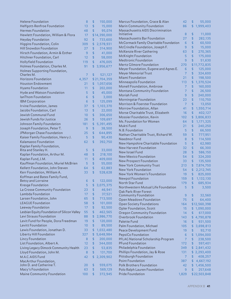| <b>Helene Foundation</b>                    | 8              | \$                 | 150,000      | Marcus Foundation, Grace & Alan        | 42             | \$                 | 55,000       |
|---------------------------------------------|----------------|--------------------|--------------|----------------------------------------|----------------|--------------------|--------------|
| Helfgott-Renfroe Foundation                 | 13             | \$                 | 15,000       | Marin Community Foundation             | 86             |                    | \$1,999,403  |
| <b>Hermes Foundation</b>                    | 48             | \$                 | 95,074       | Massachusetts AIDS Discrimination      |                |                    |              |
| Hewlett Foundation, William & Flora         | 17             |                    | \$14,390,000 | Initiative                             | 8              | \$                 | 11,000       |
| <b>Heyday Foundation</b>                    | 92             | $\mathfrak{L}$     | 733,600      | Massachusetts Bar Foundation           | 27             | \$                 | 282,135      |
| Higgins Foundation, Colin                   | 309            | \$                 | 2,578,931    | McCormack Family Charitable Foundation | 6              | \$                 | 60,500       |
| Hill Snowdon Foundation                     | 27             | $\mathfrak{L}$     | 314,900      | McCrindle Foundation, Joseph F.        | 9              | \$                 | 15,000       |
| Hirsch Foundation, Armin & Esther           | 9              | $\mathbf{\hat{z}}$ | 41,000       | McKenzie River Gathering               | 63             | \$                 | 270,365      |
| Hitchner Foundation, Carl                   | 12             | \$                 | 58,000       | <b>McKnight Foundation</b>             | 5              | \$                 | 175,000      |
| <b>Hollyfield Foundation</b>                | 119            | \$                 | 476,005      | Medtronic Foundation                   | 9              | \$                 | 51,630       |
| Holmes Foundation, Charles M.               | 91             | \$.                | 3,956,677    | Mertz Gilmore Foundation               | 270            |                    | \$11,772,835 |
| Holmes Supporting Foundation,               |                |                    |              | Meyer Foundation, Eugene and Agnes E.  | 6              | \$                 | 125,000      |
| Charles M.                                  | $\overline{7}$ | \$                 | 521,127      | <b>Meyer Memorial Trust</b>            | $\overline{7}$ | $\mathbf{\hat{z}}$ | 324,600      |
| Horizons Foundation                         | 4,357          |                    | \$21,704,359 | Miami Foundation                       | 21             | \$                 | 198,500      |
| <b>Houston Endowment</b>                    | 21             | \$                 | 1,057,656    | Minneapolis Foundation                 | 113            | \$                 | 1,370,524    |
| <b>Hyams Foundation</b>                     | 11             | \$                 | 202,000      | Monell Foundation, Ambrose             | $\overline{7}$ | \$                 | 160,000      |
| Hyde and Watson Foundation                  | 5              | $\mathfrak{D}$     | 45,000       | Montana Community Foundation           | $\overline{7}$ | \$                 | 26,500       |
| IanThom Foundation                          | 6              | $\mathfrak{D}$     | 3,000        | Moriah Fund                            | 9              | \$                 | 240,000      |
|                                             | 6              | \$                 |              | Morningstar Foundation                 | 23             | \$                 | 110,750      |
| <b>IBM Corporation</b>                      |                |                    | 125,099      | Morrison & Foerster Foundation         | 7              | \$                 | 13,050       |
| Irvine Foundation, James                    | 37             | \$                 | 1,103,370    | Morrow Foundation, Allan               | 41             | \$                 | 1,550,714    |
| Jacobs Foundation, Carl                     | 13             | \$                 | 22,000       | Morse Charitable Trust, Elizabeth      | 16             | \$                 | 402,127      |
| Jewish Communal Fund                        | 10             | \$                 | 306,650      | Mossier Foundation, Kevin              | 102            |                    | \$3,806,833  |
| Jewish Funds for Justice                    | 26             | \$                 | 109,697      | Ms. Foundation for Women               | 64             | \$                 | 1,171,325    |
| Johnson Family Foundation                   | 181            | $\mathfrak{D}$     | 5,391,495    | Mukti Fund                             | 21             | \$                 | 240,250      |
| Joseph Foundation, Peter T.                 | 9              | $\frac{1}{2}$      | 38,500       | N.B. Foundation                        | 5              | \$                 | 66,500       |
| JPMorgan Chase Foundation                   | 25             | $\mathfrak{D}$     | 644,895      | Nathan Charitable Trust, Richard W.    | 59             | \$                 | 777,951      |
| Kaiser Family Foundation, Henry J.          | 5              | $\mathfrak{D}$     | 90,430       | Needmor Fund                           | 8              | $\overline{S}$     | 114,500      |
| Kalamazoo Foundation                        | 62             | \$                 | 392,750      | New Hampshire Charitable Foundation    | 5              | \$                 | 62,980       |
| Kaplan Family Foundation,                   |                |                    |              | New Harvest Foundation                 | 32             | $\mathfrak{S}$     | 66,300       |
| Rita and Stanley H.                         | 5              | \$                 | 33,000       | New Israel Fund                        | 28             | \$                 | 586,150      |
| Kaplan Foundation, Arthur M.                | 48             | \$                 | 218,100      | New Mexico Foundation                  | 54             | $\frac{1}{2}$      | 324,200      |
| Kaplan Fund, J.M.                           | 11             | $\mathfrak{L}$     | 409,000      | New Prospect Foundation                | 33             | $\mathfrak{S}$     | 135,500      |
| Kauffman Foundation, Muriel McBrien         | 5              | $\mathfrak{D}$     | 55,000       | New York Community Trust               | 213            | \$                 | 7,874,750    |
| Kellett Foundation, John Steven             | 64             | \$                 | 62,883       | New York Foundation                    | 54             | \$                 | 2,212,745    |
| Kerr Foundation, William A.                 | 33             | \$                 | 528,628      | New York Women's Foundation            | 19             | \$                 | 825,000      |
| Koffman and Bates Family Fund,              |                |                    |              | Newpol Foundation                      | 159            | \$                 | 1,132,130    |
| Betsy and Lorraine                          | 6              | \$                 | 122,000      | North Star Fund                        | 179            | \$                 | 685,934      |
| Kresge Foundation                           | 5              |                    | \$3,075,375  | Northwestern Mutual Life Foundation    | 5              | \$                 | 3,500        |
| La Crosse Community Foundation              | 23             | $\frac{1}{2}$      | 46,941       | Oak Park-River Forest                  |                |                    |              |
| Lambda Foundation                           | 17             | \$                 | 37,521       | Community Foundation                   | 9              | \$                 | 32,560       |
| Larsen Foundation, John                     | 65             | \$                 | 713,500      | Open Meadows Foundation                | 75             | \$                 | 64,400       |
| <b>LEAGUE Foundation</b>                    | 58             | \$                 | 101,000      | <b>Open Society Foundations</b>        | 164            |                    | \$12,560,398 |
| Leeway Foundation                           | 17             | \$                 | 92,500       | <b>Opler Foundation, Scott</b>         | 15             |                    | \$1,090,000  |
| Lesbian Equity Foundation of Silicon Valley | 55             | $\mathfrak{D}$     | 462,565      | Oregon Community Foundation            | 14             | \$                 | 617,000      |
| Levi Strauss Foundation                     | 88             | \$                 | 2,986,770    | Overbrook Foundation                   | 143            |                    | \$4,790,878  |
| Levit Fund for People, Dora Freedman        | 19             | $\mathfrak{L}$     | 120,000      | <b>Palette Fund</b>                    | 16             | \$                 | 931,500      |
| Levitt Foundation                           | 10             | $\mathfrak{L}$     | 89,500       | Palm Foundation, Michael               | 105            |                    |              |
| Lewis Foundation, Jonathan D.               | 33             |                    | \$1,032,480  |                                        |                | \$                 | \$3,698,813  |
| Liberty Hill Foundation                     | 327            | \$                 | 5,648,984    | Peace Development Fund                 | 19             |                    | 92,710       |
|                                             |                |                    |              | PepsiCo Foundation                     | 6              |                    | \$1,094,000  |
| Lincy Foundation                            | 8              | \$                 | 200,000      | PFLAG National Scholarship Program     | $\overline{7}$ | \$                 | 238,500      |
| List Foundation, Albert A.                  | 12             | $\mathfrak{L}$     | 344,000      | <b>PFund Foundation</b>                | 172            | \$                 | 597,401      |
| Living Legacy Dimock Community Health       | 23             | $\mathfrak{L}$     | 53,835       | Philadelphia Foundation                | 349            |                    | \$2,841,432  |
| Lloyd Foundation, John M.                   | 8              | $\mathfrak{L}$     | 131,700      | Phillips Foundation, Jay & Rose        | 131            |                    | \$2,293,400  |
| M.A.C. AIDS Fund                            | 42             | \$                 | 2,309,902    | Pittsburgh Foundation                  | $\overline{7}$ | \$                 | 408,257      |
| MacArthur Foundation,                       |                |                    |              | Point Foundation                       | 387            | \$.                | 4,667,192    |
| John D. and Catherine T.                    | 20             | \$                 | 559,075      | <b>Polk Brothers Foundation</b>        | 42             | \$.                | 1,456,500    |
| Macy's Foundation                           | 63             | \$                 | 569,129      | Polo Ralph Lauren Foundation           | 9              | \$                 | 257,648      |
| Maine Community Foundation                  | 100            | \$                 | 372,945      | <b>Pride Foundation</b>                | 1,829          |                    | \$22,503,848 |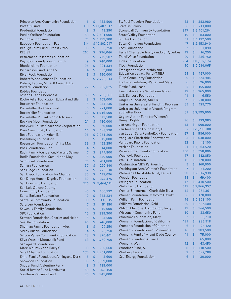| Princeton Area Community Foundation                              | 6               | \$             | 133,500      | <b>St. Paul Travelers Foundation</b>       | 33             | \$                     | 383,980      |
|------------------------------------------------------------------|-----------------|----------------|--------------|--------------------------------------------|----------------|------------------------|--------------|
| Proteus Fund                                                     | 118             |                | \$11,407,017 | <b>Starfish Group</b>                      | 6              | \$                     | 213,000      |
| <b>Prudential Foundation</b>                                     | 8               | \$             | 19,250       | <b>Stonewall Community Foundation</b>      | 817            |                        | \$6,401,264  |
| <b>Public Welfare Foundation</b>                                 | 58              |                | \$2,431,000  | <b>Straw Valley Foundation</b>             | 10             | \$                     | 83,000       |
| <b>Rainbow Endowment</b>                                         | 71              |                | \$1,199,300  | Surdna Foundation                          | 11             |                        | \$1,132,500  |
| Rapoport Foundation, Paul                                        | 614             |                | \$10,802,247 | Susan G. Komen Foundation                  | 47             |                        | \$2,453,940  |
| Reaugh Trust Fund, Ernest Otho                                   | 35              | \$             | 68,750       | <b>Taos Foundation</b>                     | 7              | \$                     | 31,898       |
| <b>RESIST</b>                                                    | 262             | \$             | 296,046      | Terrell Charitable Trust, Randolph Querbes | 13             | \$                     | 16,250       |
| <b>Retirement Research Foundation</b>                            | 5               | $\mathfrak{D}$ | 219,587      | <b>Third Wave Foundation</b>               | 29             | \$                     | 336,750      |
| Reynolds Foundation, Z. Smith                                    | 9               | $\frac{1}{2}$  | 240,000      | <b>Tides Foundation</b>                    | 754            |                        | \$18,137,374 |
| Rhode Island Foundation                                          | 95              | \$             | 921,334      | <b>Tisch Foundation</b>                    | 10             |                        | \$2,214,065  |
| Richardson Fund, Anne S.                                         | 14              | $\frac{1}{2}$  | 532,000      | Transgender Scholarship and                |                |                        |              |
| <b>River Rock Foundation</b>                                     | $6\phantom{1}6$ | $\mathsf{\$}$  | 190,000      | <b>Education Legacy Fund (TSELF)</b>       | 24             | \$                     | 167,000      |
| Robert Wood Johnson Foundation                                   | 15              |                | \$2,728,314  | <b>Tulsa Community Foundation</b>          | 20             | \$                     | 224,984      |
| Robins, Kaplan, Miller & Ciresi, L.L.P.                          |                 |                |              | Tuohy Foundation, Walter and Mary          | 6              | \$                     | 26,000       |
| <b>Private Foundation</b>                                        | 27              | \$             | 132,025      | Tuttle Fund, Isaac                         | 5              | $\mathbf{\hat{z}}$     | 155,000      |
| Roblee Foundation,                                               |                 |                |              | Two Sisters and a Wife Foundation          | 12             | \$                     | 365,000      |
| Joseph H. and Florence A.                                        | 53              | \$             | 705,361      | U.S. Bancorp Foundation                    | 11             | $\mathfrak{S}$         | 6,550        |
| Roche Relief Foundation, Edward and Ellen                        | 8               | $\mathfrak{D}$ | 103,000      | Unger Foundation, Aber D.                  | 9              | $\mathbf{\hat{S}}$     | 210,000      |
| <b>Rockcares Foundation</b>                                      | 15              | \$             | 234,236      | Unitarian Universalist Funding Program     | 65             | $\overline{S}$         | 429,770      |
| Rockefeller Brothers Fund                                        | 6               | $\mathsf{\$}$  | 221,000      | Unitarian Universalist Veatch Program      |                |                        |              |
| <b>Rockefeller Foundation</b>                                    | 22              |                | \$1,546,500  | at Shelter Rock                            | 61             |                        | \$2,595,000  |
| Rockefeller Philanthropic Advisors                               | 5               | $\mathsf{\$}$  | 113,500      | Urgent Action Fund for Women's             |                |                        |              |
| Rocking Moon Foundation                                          | 21              | $\mathsf{\$}$  | 450,000      | Human Rights                               | 36             | \$                     | 123,985      |
| Rockwell Collins Charitable Corporation                          | $6\phantom{1}6$ | $\mathbf{L}$   | 70,000       | van Ameringen Foundation                   | 13             | \$                     | 590,000      |
| Rose Community Foundation                                        | 16              | $\mathfrak{S}$ | 147,920      | van Ameringen Foundation, H.               | 687            |                        | \$25,296,700 |
| Rose Foundation, Adam R.                                         | 96              |                | \$2,051,200  | van Loben Sels/RembeRock Foundation        | 67             | \$                     | 586,000      |
| Rosenberg Foundation                                             | 8               | \$             | 115,000      | Vanguard Charitable Endowment              | 23             | \$                     | 638,000      |
| Rosenstein Foundation, Anita May                                 | 39              | $\frac{1}{2}$  | 422,250      | Vanguard Public Foundation                 | 22             | $\boldsymbol{\hat{z}}$ | 49,100       |
| Ross Foundation, Bob                                             | 54              | $\frac{1}{2}$  | 314,000      | <b>Verizon Foundation</b>                  | 121            |                        | \$1,263,520  |
| Rudin Family Foundation, May and Samuel                          | $\overline{7}$  | $\mathfrak{D}$ |              | Vermont Community Foundation               | 150            | \$                     | 758,806      |
|                                                                  |                 | $\mathsf{\$}$  | 377,800      | Wachovia Foundation                        | 17             | $\mathfrak{S}$         | 512,850      |
| Rudin Foundation, Samuel and May<br><b>Saint Paul Foundation</b> | 5               |                | 349,000      | <b>Wallis Foundation</b>                   | 12             | \$                     | 370,000      |
|                                                                  | 26              | $\mathfrak{D}$ | 411,808      | <b>Washington AIDS Partnership</b>         | 5              | $\mathbf{\hat{z}}$     | 160,000      |
| Samara Foundation                                                | 137             | \$             | 292,140      | Washington Area Women's Foundation         | $\overline{7}$ | \$                     | 51,200       |
| San Diego Foundation                                             | 57              | $\frac{1}{2}$  | 770,610      | Watanabe Charitable Trust, Terry K.        | 88             |                        | \$2,847,930  |
| San Diego Foundation for Change                                  | 30              | $\frac{1}{2}$  | 119,096      | <b>Weeden Foundation</b>                   | 14             | \$                     | 69,400       |
| San Diego Human Dignity Foundation                               | 80              | \$             | 366,175      | <b>Weingart Foundation</b>                 | 17             | \$                     | 430,500      |
| San Francisco Foundation                                         | 326             |                | \$5,464,111  | <b>Wells Fargo Foundation</b>              | 717            |                        | \$9,866,357  |
| San Luis Obispo County                                           |                 |                |              | Wexler-Zimmerman Charitable Trust          | 12             | \$                     | 267,361      |
| <b>Community Foundation</b>                                      | 45              | \$             | 100,932      | Wiener Foundation, Malcolm Hewitt          | 6              | \$                     | 170,000      |
| Santa Barbara Foundation                                         | 10              | \$             | 313,234      | <b>William Penn Foundation</b>             | 16             |                        | \$2,328,100  |
| Sante Fe Community Foundation                                    | 88              | \$             | 391,015      | Williams Foundation, Reid                  | 80             | \$                     | 637,408      |
| Sara Lee Foundation                                              | 7               | \$             | 51,150       | Wilson Memorial Foundation, Jerry J.       | 19             | \$                     | 144,500      |
| Sawchuk Family Foundation                                        | 6               | $\mathfrak{D}$ | 115,000      | <b>Wisconsin Community Fund</b>            |                |                        |              |
| <b>SBC</b> Foundation                                            | 10              | $\mathfrak{S}$ | 239,300      |                                            | 10             | \$                     | 33,650       |
| Schwab Foundation, Charles and Helen                             | 5               | $\mathfrak{D}$ | 23,500       | <b>Wohlford Foundation, Mary</b>           | 7              | $\mathsf{\$}$          | 53,710       |
| Seattle Foundation                                               | 46              | $\mathfrak{D}$ | 746,000      | Women's Foundation of California           | 121            | \$                     | 935,918      |
| Shulman Family Foundation, Alex                                  | $6\phantom{1}6$ | $\mathfrak{D}$ | 27,250       | Women's Foundation of Colorado             | 6              | $\mathfrak{D}$         | 24,120       |
| <b>Sidley Austin Foundation</b>                                  | 14              | $\mathfrak{D}$ | 125,750      | Women's Foundation of Minnesota            | 16             | \$                     | 283,500      |
| Silicon Valley Community Foundation                              | 23              | \$             | 370,401      | Women's Fund of Miami-Dade County          | 11             | $\mathfrak{S}$         | 75,000       |
| Silva Watson Moonwalk Fund                                       | 68              |                | \$1,769,750  | Women's Funding Alliance                   | 5              | $\mathfrak{S}$         | 65,000       |
| Skovgaard Foundation,                                            |                 |                |              | Women's Way                                | 12             | \$                     | 63,450       |
| Marc Wolinsky and Barry C.                                       | 33              | $\mathfrak{S}$ | 220,660      | Woodner Fund, A.                           | 28             | \$                     | 118,500      |
| <b>Small Change Foundation</b>                                   | 170             |                | \$2,251,000  | <b>Working Assets</b>                      | 9              | \$                     | 527,789      |
| Smith Family Foundation, Anning and Doris                        | 5               | \$             | 3,600        | <b>Xcel Energy Foundation</b>              | 6              | \$                     | 30,000       |
| Snowdon Foundation                                               | 185             |                | \$3,559,800  |                                            |                |                        |              |
| Snyder Fund, Valentine Perry                                     | 8               | \$             | 185,000      |                                            |                |                        |              |
| Social Justice Fund Northwest                                    | 59              | $\mathfrak{S}$ | 366,150      |                                            |                |                        |              |
| Southern Partners Fund                                           | 25              | \$             | 345,000      |                                            |                |                        |              |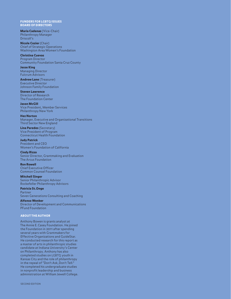### FUNDERS FOR LGBTQ ISSUES BOARD OF DIRECTORS

Maria Cadenas (Vice-Chair) Philanthropy Manager Driscoll's

Nicole Cozier (Chair) Chief of Strategic Operations Washington Area Women's Foundation

### Christina Cuevas

Program Director Community Foundation Santa Cruz County

### Jesse King Managing Director Fulcrum Advisors

Andrew Lane (Treasurer) Executive Director Johnson Family Foundation

### Steven Lawrence Director of Research The Foundation Center

Jason McGill

Third Sector New England

### Vice President, Member Services Philanthropy New York

Hez Norton Manager, Executive and Organizational Transitions

Lina Paredes (Secretary) Vice President of Program Connecticut Health Foundation

### Judy Patrick President and CEO

Women's Foundation of California

### Cindy Rizzo

Senior Director, Grantmaking and Evaluation The Arcus Foundation

### Ron Rowell Chief Executive Officer Common Counsel Foundation

Mitchell Singer Senior Philanthropic Advisor Rockefeller Philanthropy Advisors

### Patricia St.Onge Partner Seven Generations Consulting and Coaching

Alfonso Wenker Director of Development and Communications PFund Foundation

### ABOUT THE AUTHOR

Anthony Bowen is grants analyst at The Annie E. Casey Foundation. He joined the Foundation in 2011 after spending several years with Grantmakers for Effective Organizations and GuideStar. He conducted research for this report as a master of arts in philanthropic studies candidate at Indiana University's Center on Philanthropy. Anthony has also completed studies on LGBTQ youth in Kansas City and the role of philanthropy in the repeal of "Don't Ask, Don't Tell." He completed his undergraduate studies in nonprofit leadership and business administration at William Jewell College.

SECOND EDITION